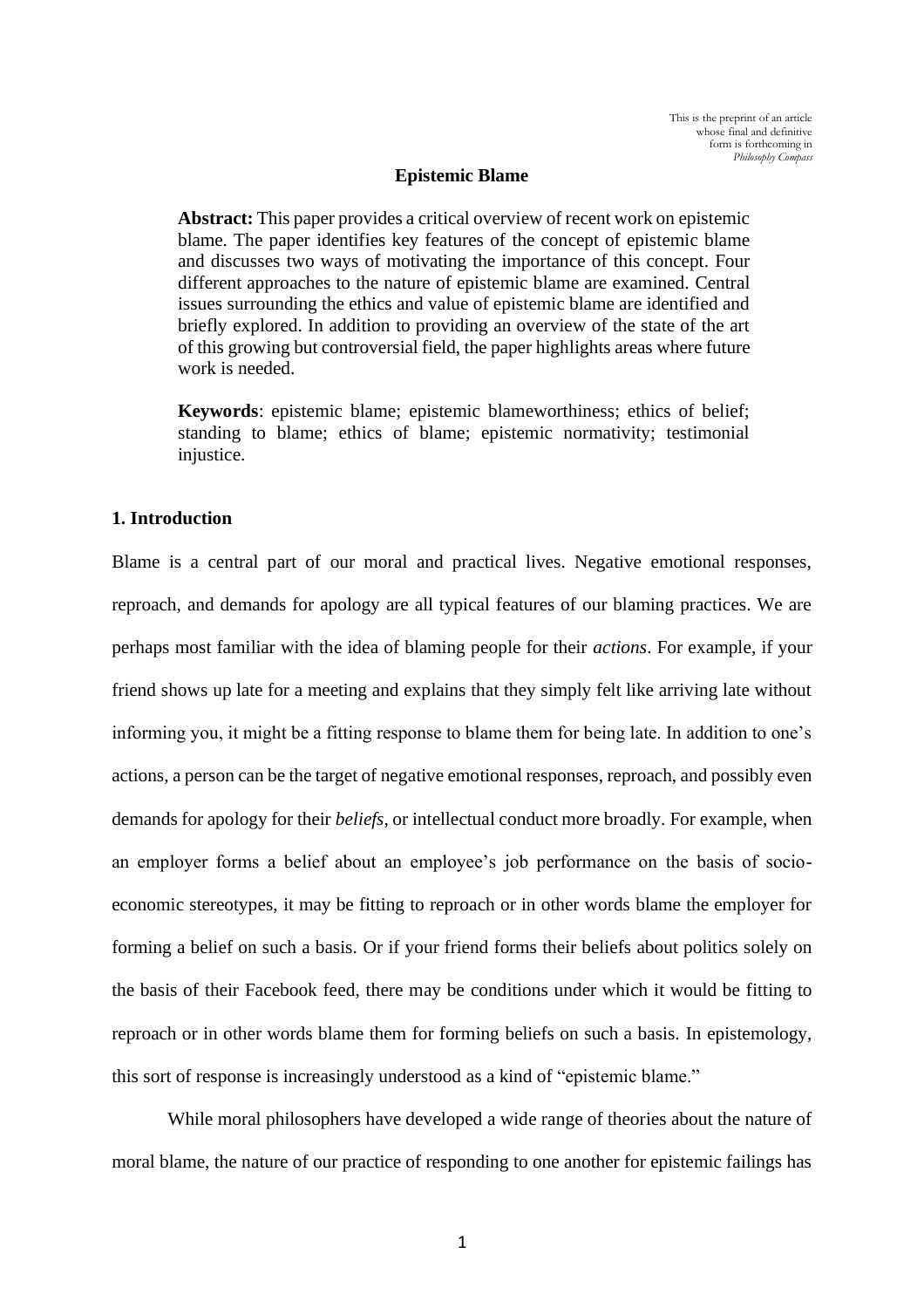#### **Epistemic Blame**

**Abstract:** This paper provides a critical overview of recent work on epistemic blame. The paper identifies key features of the concept of epistemic blame and discusses two ways of motivating the importance of this concept. Four different approaches to the nature of epistemic blame are examined. Central issues surrounding the ethics and value of epistemic blame are identified and briefly explored. In addition to providing an overview of the state of the art of this growing but controversial field, the paper highlights areas where future work is needed.

**Keywords**: epistemic blame; epistemic blameworthiness; ethics of belief; standing to blame; ethics of blame; epistemic normativity; testimonial injustice.

## **1. Introduction**

Blame is a central part of our moral and practical lives. Negative emotional responses, reproach, and demands for apology are all typical features of our blaming practices. We are perhaps most familiar with the idea of blaming people for their *actions*. For example, if your friend shows up late for a meeting and explains that they simply felt like arriving late without informing you, it might be a fitting response to blame them for being late. In addition to one's actions, a person can be the target of negative emotional responses, reproach, and possibly even demands for apology for their *beliefs*, or intellectual conduct more broadly. For example, when an employer forms a belief about an employee's job performance on the basis of socioeconomic stereotypes, it may be fitting to reproach or in other words blame the employer for forming a belief on such a basis. Or if your friend forms their beliefs about politics solely on the basis of their Facebook feed, there may be conditions under which it would be fitting to reproach or in other words blame them for forming beliefs on such a basis. In epistemology, this sort of response is increasingly understood as a kind of "epistemic blame."

While moral philosophers have developed a wide range of theories about the nature of moral blame, the nature of our practice of responding to one another for epistemic failings has

1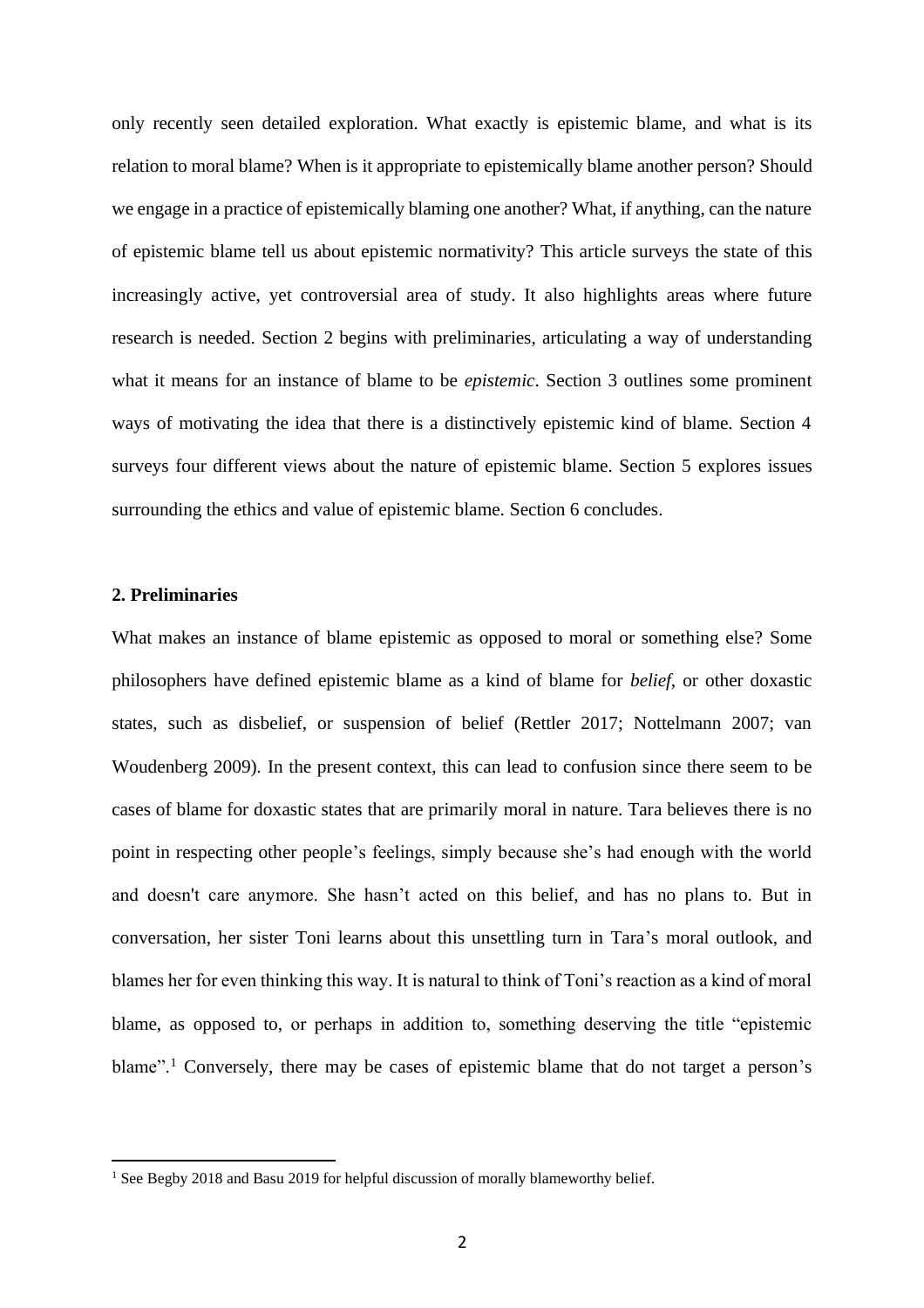only recently seen detailed exploration. What exactly is epistemic blame, and what is its relation to moral blame? When is it appropriate to epistemically blame another person? Should we engage in a practice of epistemically blaming one another? What, if anything, can the nature of epistemic blame tell us about epistemic normativity? This article surveys the state of this increasingly active, yet controversial area of study. It also highlights areas where future research is needed. Section 2 begins with preliminaries, articulating a way of understanding what it means for an instance of blame to be *epistemic*. Section 3 outlines some prominent ways of motivating the idea that there is a distinctively epistemic kind of blame. Section 4 surveys four different views about the nature of epistemic blame. Section 5 explores issues surrounding the ethics and value of epistemic blame. Section 6 concludes.

# **2. Preliminaries**

What makes an instance of blame epistemic as opposed to moral or something else? Some philosophers have defined epistemic blame as a kind of blame for *belief*, or other doxastic states, such as disbelief, or suspension of belief (Rettler 2017; Nottelmann 2007; van Woudenberg 2009)*.* In the present context, this can lead to confusion since there seem to be cases of blame for doxastic states that are primarily moral in nature. Tara believes there is no point in respecting other people's feelings, simply because she's had enough with the world and doesn't care anymore. She hasn't acted on this belief, and has no plans to. But in conversation, her sister Toni learns about this unsettling turn in Tara's moral outlook, and blames her for even thinking this way. It is natural to think of Toni's reaction as a kind of moral blame, as opposed to, or perhaps in addition to, something deserving the title "epistemic blame".<sup>1</sup> Conversely, there may be cases of epistemic blame that do not target a person's

<sup>&</sup>lt;sup>1</sup> See Begby 2018 and Basu 2019 for helpful discussion of morally blameworthy belief.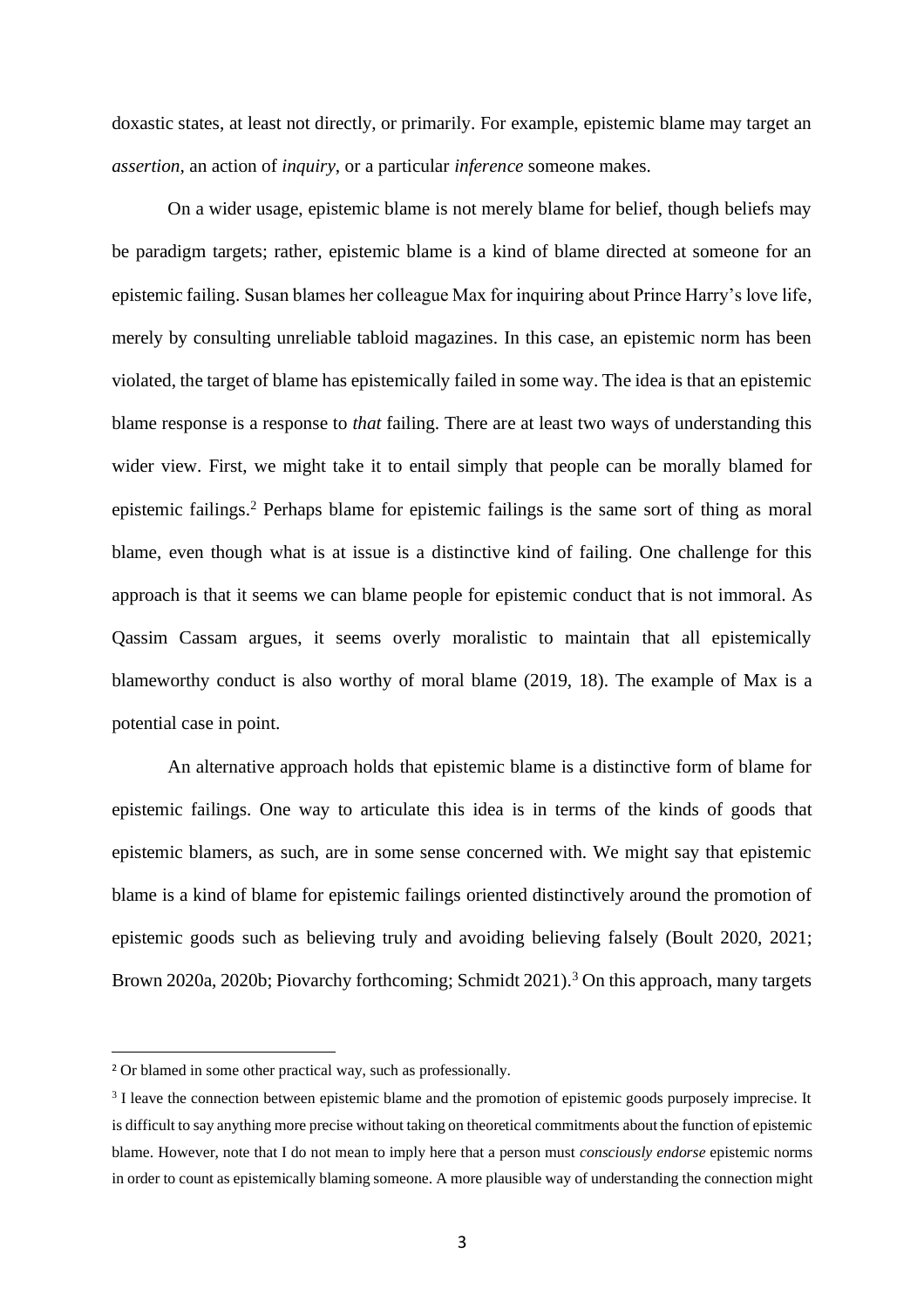doxastic states, at least not directly, or primarily. For example, epistemic blame may target an *assertion,* an action of *inquiry*, or a particular *inference* someone makes.

On a wider usage, epistemic blame is not merely blame for belief, though beliefs may be paradigm targets; rather, epistemic blame is a kind of blame directed at someone for an epistemic failing. Susan blames her colleague Max for inquiring about Prince Harry's love life, merely by consulting unreliable tabloid magazines. In this case, an epistemic norm has been violated, the target of blame has epistemically failed in some way. The idea is that an epistemic blame response is a response to *that* failing. There are at least two ways of understanding this wider view. First, we might take it to entail simply that people can be morally blamed for epistemic failings.<sup>2</sup> Perhaps blame for epistemic failings is the same sort of thing as moral blame, even though what is at issue is a distinctive kind of failing. One challenge for this approach is that it seems we can blame people for epistemic conduct that is not immoral. As Qassim Cassam argues, it seems overly moralistic to maintain that all epistemically blameworthy conduct is also worthy of moral blame (2019, 18). The example of Max is a potential case in point.

An alternative approach holds that epistemic blame is a distinctive form of blame for epistemic failings. One way to articulate this idea is in terms of the kinds of goods that epistemic blamers, as such, are in some sense concerned with. We might say that epistemic blame is a kind of blame for epistemic failings oriented distinctively around the promotion of epistemic goods such as believing truly and avoiding believing falsely (Boult 2020, 2021; Brown 2020a, 2020b; Piovarchy forthcoming; Schmidt 2021).<sup>3</sup> On this approach, many targets

<sup>2</sup> Or blamed in some other practical way, such as professionally.

<sup>&</sup>lt;sup>3</sup> I leave the connection between epistemic blame and the promotion of epistemic goods purposely imprecise. It is difficult to say anything more precise without taking on theoretical commitments about the function of epistemic blame. However, note that I do not mean to imply here that a person must *consciously endorse* epistemic norms in order to count as epistemically blaming someone. A more plausible way of understanding the connection might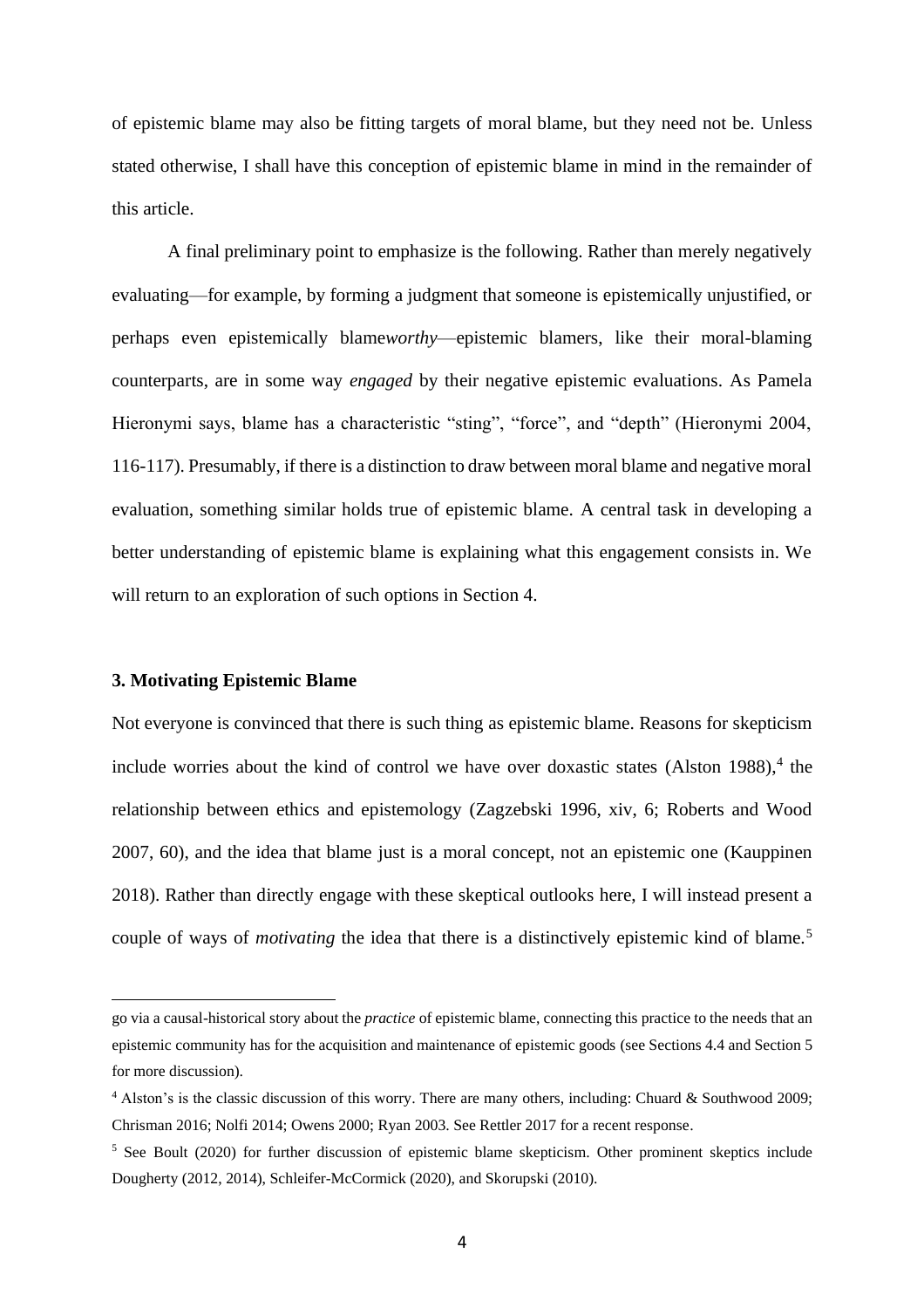of epistemic blame may also be fitting targets of moral blame, but they need not be. Unless stated otherwise, I shall have this conception of epistemic blame in mind in the remainder of this article.

A final preliminary point to emphasize is the following. Rather than merely negatively evaluating—for example, by forming a judgment that someone is epistemically unjustified, or perhaps even epistemically blame*worthy*—epistemic blamers, like their moral-blaming counterparts, are in some way *engaged* by their negative epistemic evaluations. As Pamela Hieronymi says, blame has a characteristic "sting", "force", and "depth" (Hieronymi 2004, 116-117). Presumably, if there is a distinction to draw between moral blame and negative moral evaluation, something similar holds true of epistemic blame. A central task in developing a better understanding of epistemic blame is explaining what this engagement consists in. We will return to an exploration of such options in Section 4.

## **3. Motivating Epistemic Blame**

Not everyone is convinced that there is such thing as epistemic blame. Reasons for skepticism include worries about the kind of control we have over doxastic states (Alston 1988), 4 the relationship between ethics and epistemology (Zagzebski 1996, xiv, 6; Roberts and Wood 2007, 60), and the idea that blame just is a moral concept, not an epistemic one (Kauppinen 2018). Rather than directly engage with these skeptical outlooks here, I will instead present a couple of ways of *motivating* the idea that there is a distinctively epistemic kind of blame.<sup>5</sup>

go via a causal-historical story about the *practice* of epistemic blame, connecting this practice to the needs that an epistemic community has for the acquisition and maintenance of epistemic goods (see Sections 4.4 and Section 5 for more discussion).

<sup>&</sup>lt;sup>4</sup> Alston's is the classic discussion of this worry. There are many others, including: Chuard & Southwood 2009; Chrisman 2016; Nolfi 2014; Owens 2000; Ryan 2003. See Rettler 2017 for a recent response.

<sup>5</sup> See Boult (2020) for further discussion of epistemic blame skepticism. Other prominent skeptics include Dougherty (2012, 2014), Schleifer-McCormick (2020), and Skorupski (2010).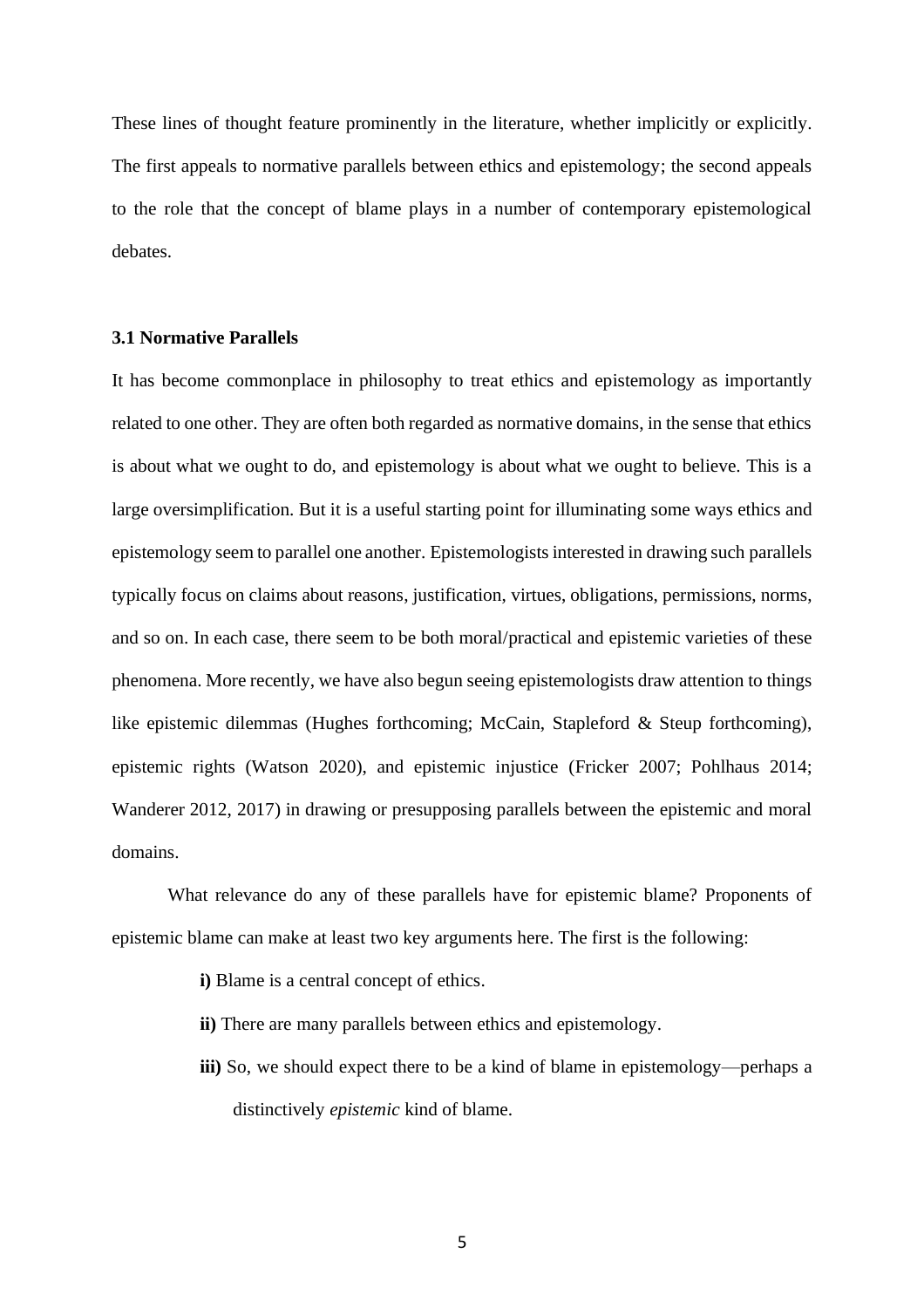These lines of thought feature prominently in the literature, whether implicitly or explicitly. The first appeals to normative parallels between ethics and epistemology; the second appeals to the role that the concept of blame plays in a number of contemporary epistemological debates.

# **3.1 Normative Parallels**

It has become commonplace in philosophy to treat ethics and epistemology as importantly related to one other. They are often both regarded as normative domains, in the sense that ethics is about what we ought to do, and epistemology is about what we ought to believe. This is a large oversimplification. But it is a useful starting point for illuminating some ways ethics and epistemology seem to parallel one another. Epistemologists interested in drawing such parallels typically focus on claims about reasons, justification, virtues, obligations, permissions, norms, and so on. In each case, there seem to be both moral/practical and epistemic varieties of these phenomena. More recently, we have also begun seeing epistemologists draw attention to things like epistemic dilemmas (Hughes forthcoming; McCain, Stapleford & Steup forthcoming), epistemic rights (Watson 2020), and epistemic injustice (Fricker 2007; Pohlhaus 2014; Wanderer 2012, 2017) in drawing or presupposing parallels between the epistemic and moral domains.

What relevance do any of these parallels have for epistemic blame? Proponents of epistemic blame can make at least two key arguments here. The first is the following:

- **i)** Blame is a central concept of ethics.
- **ii)** There are many parallels between ethics and epistemology.
- **iii)** So, we should expect there to be a kind of blame in epistemology—perhaps a distinctively *epistemic* kind of blame.

5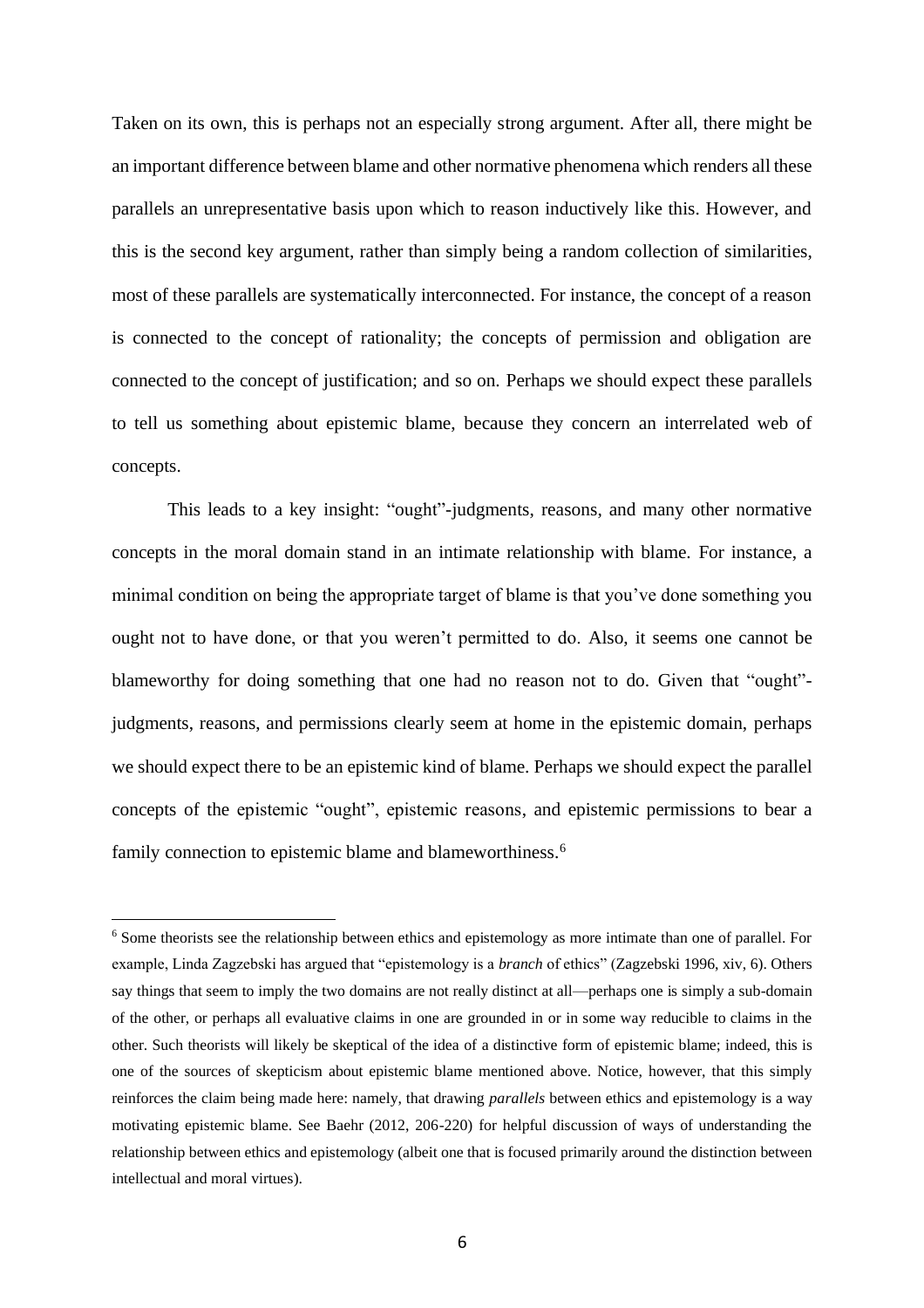Taken on its own, this is perhaps not an especially strong argument. After all, there might be an important difference between blame and other normative phenomena which renders all these parallels an unrepresentative basis upon which to reason inductively like this. However, and this is the second key argument, rather than simply being a random collection of similarities, most of these parallels are systematically interconnected. For instance, the concept of a reason is connected to the concept of rationality; the concepts of permission and obligation are connected to the concept of justification; and so on. Perhaps we should expect these parallels to tell us something about epistemic blame, because they concern an interrelated web of concepts.

This leads to a key insight: "ought"-judgments, reasons, and many other normative concepts in the moral domain stand in an intimate relationship with blame. For instance, a minimal condition on being the appropriate target of blame is that you've done something you ought not to have done, or that you weren't permitted to do. Also, it seems one cannot be blameworthy for doing something that one had no reason not to do. Given that "ought" judgments, reasons, and permissions clearly seem at home in the epistemic domain, perhaps we should expect there to be an epistemic kind of blame. Perhaps we should expect the parallel concepts of the epistemic "ought", epistemic reasons, and epistemic permissions to bear a family connection to epistemic blame and blameworthiness.<sup>6</sup>

<sup>6</sup> Some theorists see the relationship between ethics and epistemology as more intimate than one of parallel. For example, Linda Zagzebski has argued that "epistemology is a *branch* of ethics" (Zagzebski 1996, xiv, 6). Others say things that seem to imply the two domains are not really distinct at all—perhaps one is simply a sub-domain of the other, or perhaps all evaluative claims in one are grounded in or in some way reducible to claims in the other. Such theorists will likely be skeptical of the idea of a distinctive form of epistemic blame; indeed, this is one of the sources of skepticism about epistemic blame mentioned above. Notice, however, that this simply reinforces the claim being made here: namely, that drawing *parallels* between ethics and epistemology is a way motivating epistemic blame. See Baehr (2012, 206-220) for helpful discussion of ways of understanding the relationship between ethics and epistemology (albeit one that is focused primarily around the distinction between intellectual and moral virtues).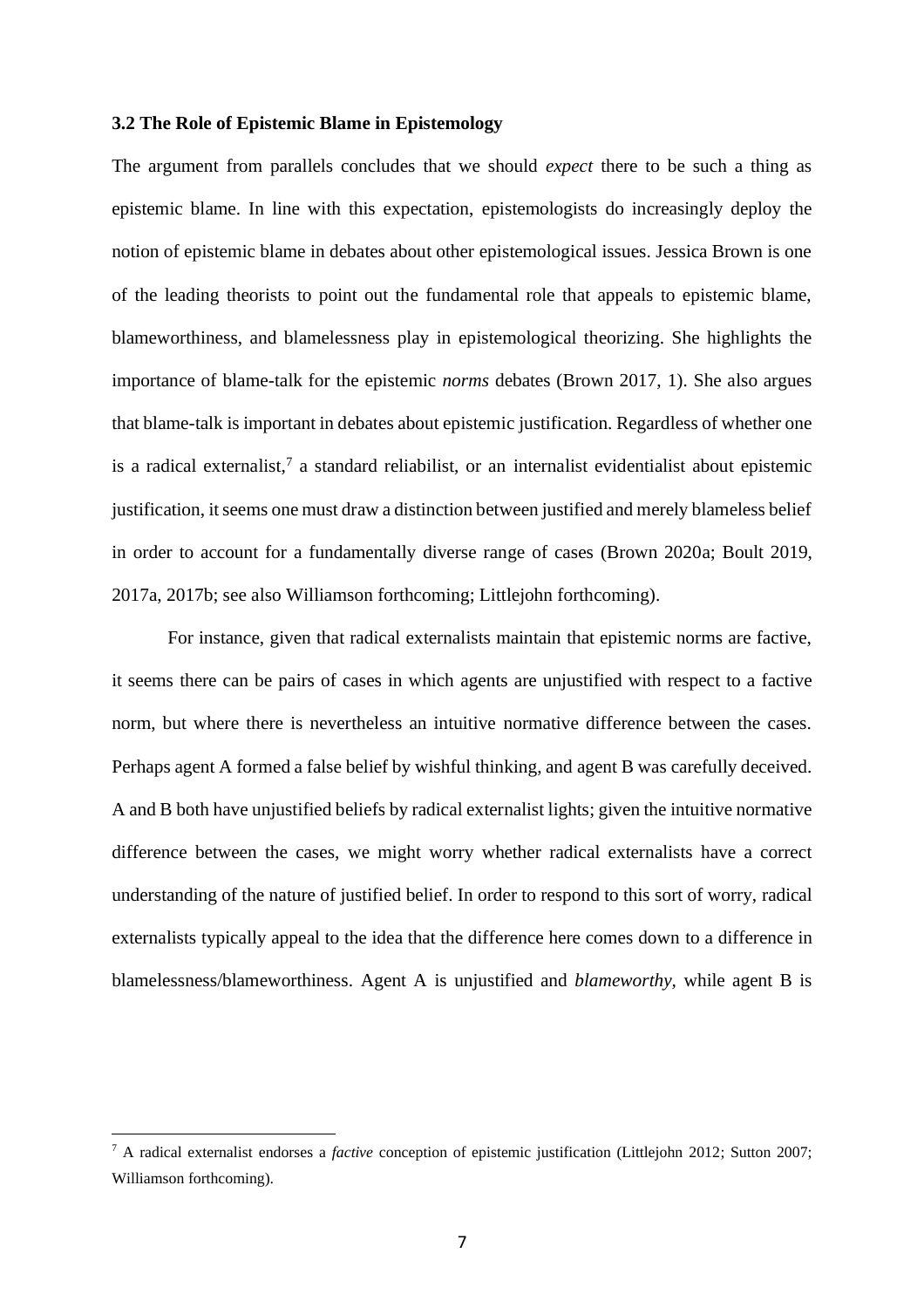## **3.2 The Role of Epistemic Blame in Epistemology**

The argument from parallels concludes that we should *expect* there to be such a thing as epistemic blame. In line with this expectation, epistemologists do increasingly deploy the notion of epistemic blame in debates about other epistemological issues. Jessica Brown is one of the leading theorists to point out the fundamental role that appeals to epistemic blame, blameworthiness, and blamelessness play in epistemological theorizing. She highlights the importance of blame-talk for the epistemic *norms* debates (Brown 2017, 1). She also argues that blame-talk is important in debates about epistemic justification. Regardless of whether one is a radical externalist, 7 a standard reliabilist, or an internalist evidentialist about epistemic justification, it seems one must draw a distinction between justified and merely blameless belief in order to account for a fundamentally diverse range of cases (Brown 2020a; Boult 2019, 2017a, 2017b; see also Williamson forthcoming; Littlejohn forthcoming).

For instance, given that radical externalists maintain that epistemic norms are factive, it seems there can be pairs of cases in which agents are unjustified with respect to a factive norm, but where there is nevertheless an intuitive normative difference between the cases. Perhaps agent A formed a false belief by wishful thinking, and agent B was carefully deceived. A and B both have unjustified beliefs by radical externalist lights; given the intuitive normative difference between the cases, we might worry whether radical externalists have a correct understanding of the nature of justified belief. In order to respond to this sort of worry, radical externalists typically appeal to the idea that the difference here comes down to a difference in blamelessness/blameworthiness. Agent A is unjustified and *blameworthy,* while agent B is

<sup>7</sup> A radical externalist endorses a *factive* conception of epistemic justification (Littlejohn 2012; Sutton 2007; Williamson forthcoming).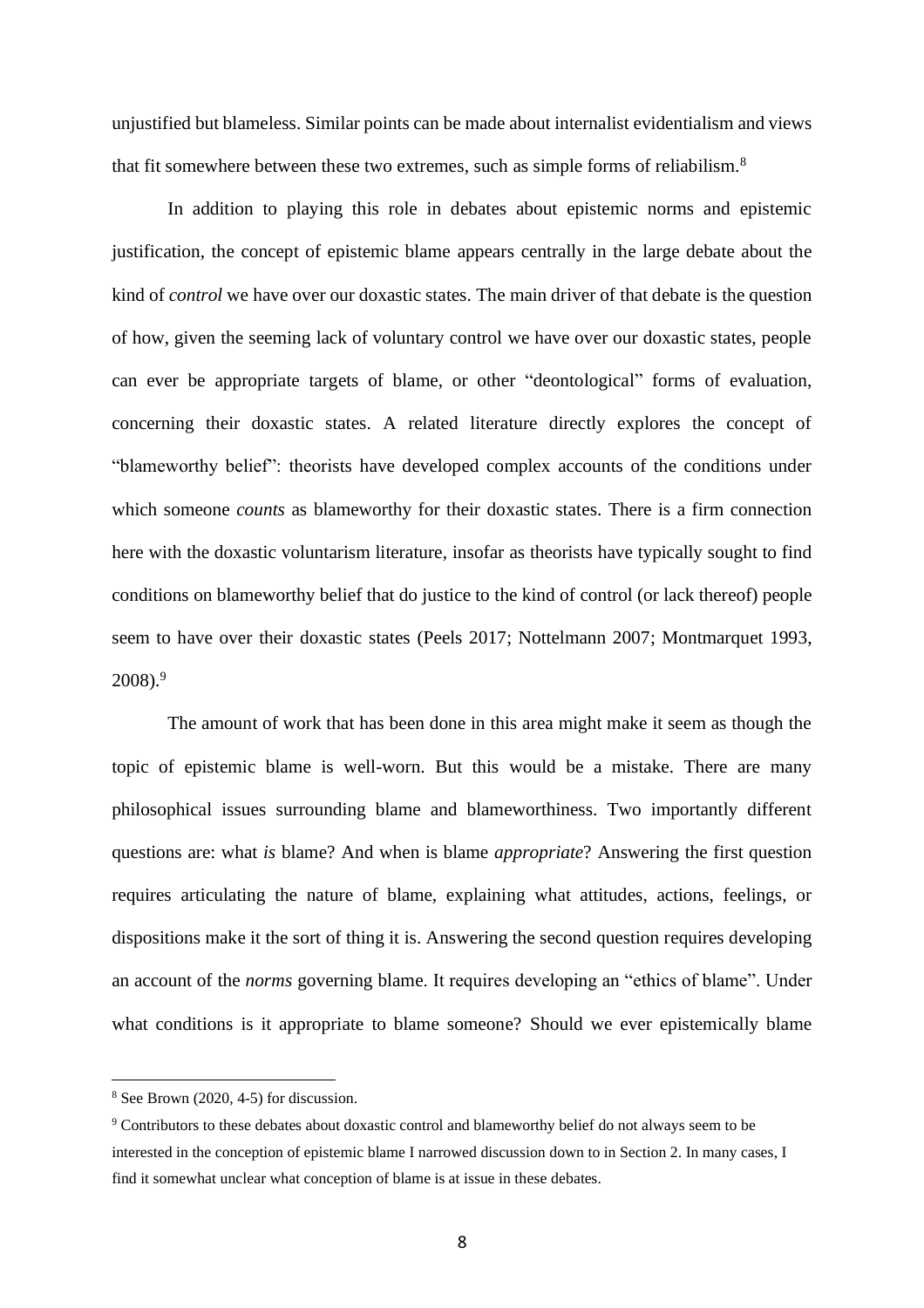unjustified but blameless. Similar points can be made about internalist evidentialism and views that fit somewhere between these two extremes, such as simple forms of reliabilism.<sup>8</sup>

In addition to playing this role in debates about epistemic norms and epistemic justification, the concept of epistemic blame appears centrally in the large debate about the kind of *control* we have over our doxastic states. The main driver of that debate is the question of how, given the seeming lack of voluntary control we have over our doxastic states, people can ever be appropriate targets of blame, or other "deontological" forms of evaluation, concerning their doxastic states. A related literature directly explores the concept of "blameworthy belief": theorists have developed complex accounts of the conditions under which someone *counts* as blameworthy for their doxastic states. There is a firm connection here with the doxastic voluntarism literature, insofar as theorists have typically sought to find conditions on blameworthy belief that do justice to the kind of control (or lack thereof) people seem to have over their doxastic states (Peels 2017; Nottelmann 2007; Montmarquet 1993, 2008). 9

The amount of work that has been done in this area might make it seem as though the topic of epistemic blame is well-worn. But this would be a mistake. There are many philosophical issues surrounding blame and blameworthiness. Two importantly different questions are: what *is* blame? And when is blame *appropriate*? Answering the first question requires articulating the nature of blame, explaining what attitudes, actions, feelings, or dispositions make it the sort of thing it is. Answering the second question requires developing an account of the *norms* governing blame. It requires developing an "ethics of blame". Under what conditions is it appropriate to blame someone? Should we ever epistemically blame

<sup>8</sup> See Brown (2020, 4-5) for discussion.

<sup>9</sup> Contributors to these debates about doxastic control and blameworthy belief do not always seem to be interested in the conception of epistemic blame I narrowed discussion down to in Section 2. In many cases, I find it somewhat unclear what conception of blame is at issue in these debates.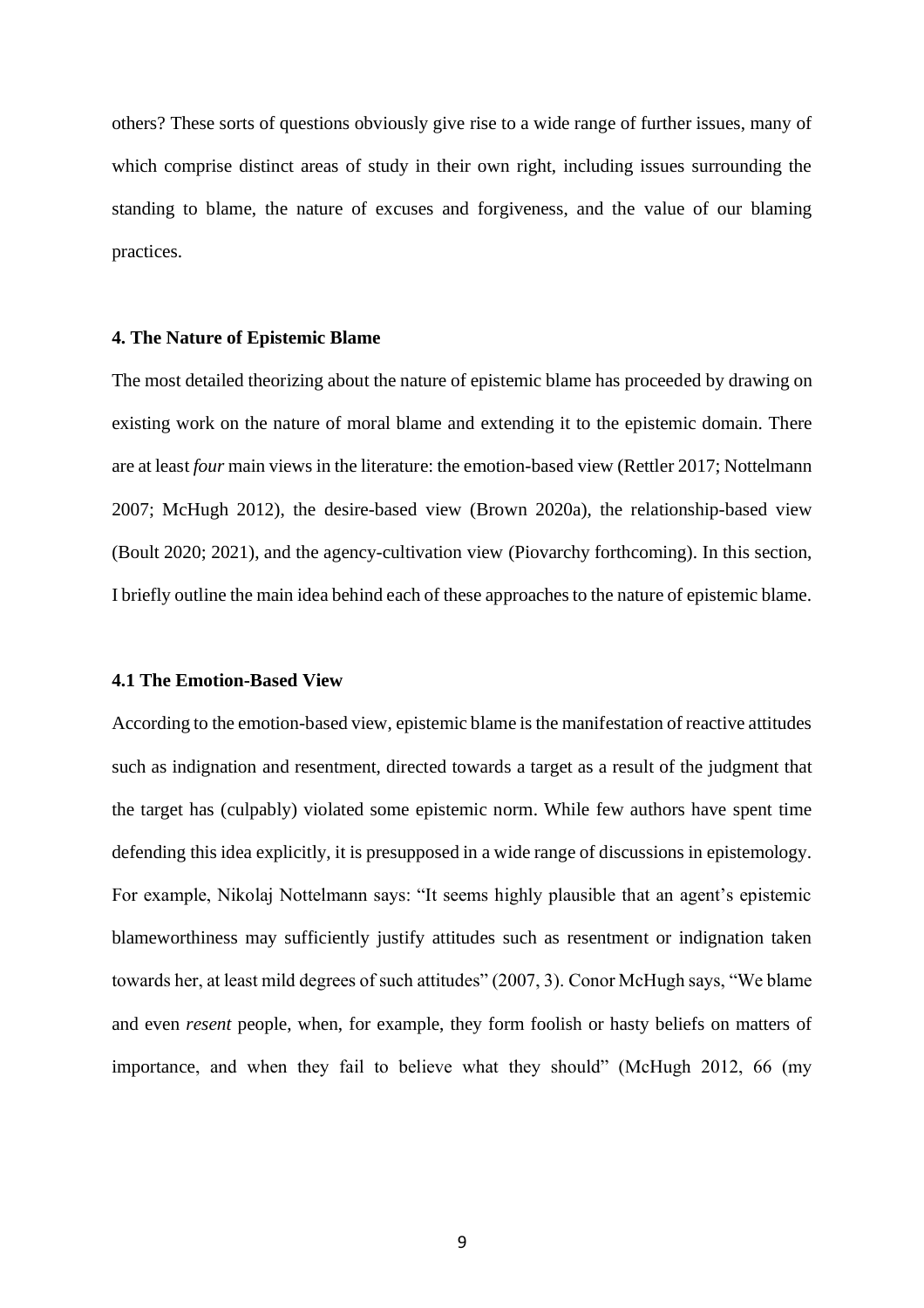others? These sorts of questions obviously give rise to a wide range of further issues, many of which comprise distinct areas of study in their own right, including issues surrounding the standing to blame, the nature of excuses and forgiveness, and the value of our blaming practices.

#### **4. The Nature of Epistemic Blame**

The most detailed theorizing about the nature of epistemic blame has proceeded by drawing on existing work on the nature of moral blame and extending it to the epistemic domain. There are at least *four* main views in the literature: the emotion-based view (Rettler 2017; Nottelmann 2007; McHugh 2012), the desire-based view (Brown 2020a), the relationship-based view (Boult 2020; 2021), and the agency-cultivation view (Piovarchy forthcoming). In this section, I briefly outline the main idea behind each of these approaches to the nature of epistemic blame.

#### **4.1 The Emotion-Based View**

According to the emotion-based view, epistemic blame is the manifestation of reactive attitudes such as indignation and resentment, directed towards a target as a result of the judgment that the target has (culpably) violated some epistemic norm. While few authors have spent time defending this idea explicitly, it is presupposed in a wide range of discussions in epistemology. For example, Nikolaj Nottelmann says: "It seems highly plausible that an agent's epistemic blameworthiness may sufficiently justify attitudes such as resentment or indignation taken towards her, at least mild degrees of such attitudes" (2007, 3). Conor McHugh says, "We blame and even *resent* people, when, for example, they form foolish or hasty beliefs on matters of importance, and when they fail to believe what they should" (McHugh 2012, 66 (my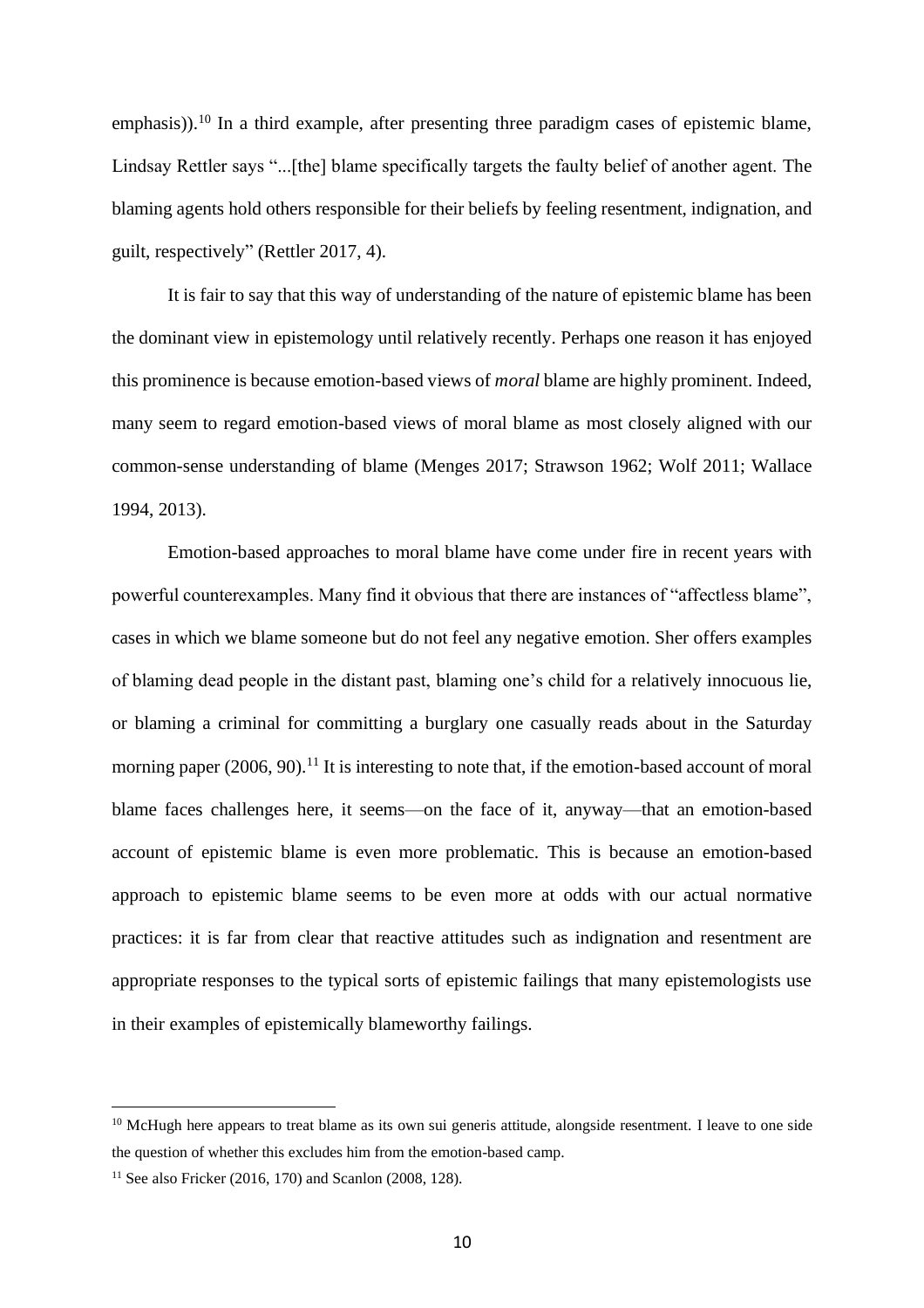emphasis)).<sup>10</sup> In a third example, after presenting three paradigm cases of epistemic blame, Lindsay Rettler says "...[the] blame specifically targets the faulty belief of another agent. The blaming agents hold others responsible for their beliefs by feeling resentment, indignation, and guilt, respectively" (Rettler 2017, 4).

It is fair to say that this way of understanding of the nature of epistemic blame has been the dominant view in epistemology until relatively recently. Perhaps one reason it has enjoyed this prominence is because emotion-based views of *moral* blame are highly prominent. Indeed, many seem to regard emotion-based views of moral blame as most closely aligned with our common-sense understanding of blame (Menges 2017; Strawson 1962; Wolf 2011; Wallace 1994, 2013).

Emotion-based approaches to moral blame have come under fire in recent years with powerful counterexamples. Many find it obvious that there are instances of "affectless blame", cases in which we blame someone but do not feel any negative emotion. Sher offers examples of blaming dead people in the distant past, blaming one's child for a relatively innocuous lie, or blaming a criminal for committing a burglary one casually reads about in the Saturday morning paper (2006, 90).<sup>11</sup> It is interesting to note that, if the emotion-based account of moral blame faces challenges here, it seems—on the face of it, anyway—that an emotion-based account of epistemic blame is even more problematic. This is because an emotion-based approach to epistemic blame seems to be even more at odds with our actual normative practices: it is far from clear that reactive attitudes such as indignation and resentment are appropriate responses to the typical sorts of epistemic failings that many epistemologists use in their examples of epistemically blameworthy failings.

<sup>&</sup>lt;sup>10</sup> McHugh here appears to treat blame as its own sui generis attitude, alongside resentment. I leave to one side the question of whether this excludes him from the emotion-based camp.

<sup>&</sup>lt;sup>11</sup> See also Fricker (2016, 170) and Scanlon (2008, 128).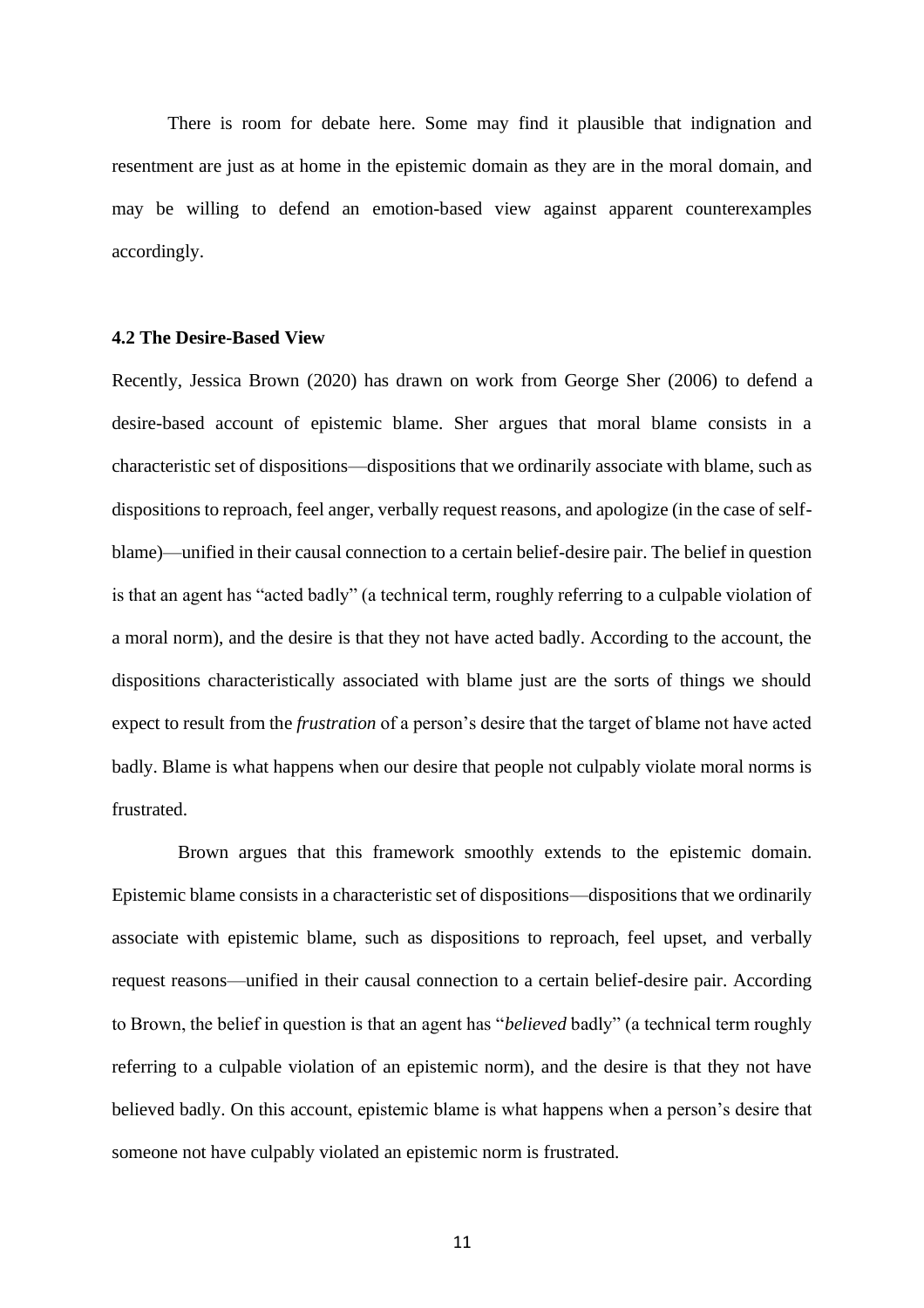There is room for debate here. Some may find it plausible that indignation and resentment are just as at home in the epistemic domain as they are in the moral domain, and may be willing to defend an emotion-based view against apparent counterexamples accordingly.

## **4.2 The Desire-Based View**

Recently, Jessica Brown (2020) has drawn on work from George Sher (2006) to defend a desire-based account of epistemic blame. Sher argues that moral blame consists in a characteristic set of dispositions—dispositions that we ordinarily associate with blame, such as dispositions to reproach, feel anger, verbally request reasons, and apologize (in the case of selfblame)—unified in their causal connection to a certain belief-desire pair. The belief in question is that an agent has "acted badly" (a technical term, roughly referring to a culpable violation of a moral norm), and the desire is that they not have acted badly. According to the account, the dispositions characteristically associated with blame just are the sorts of things we should expect to result from the *frustration* of a person's desire that the target of blame not have acted badly. Blame is what happens when our desire that people not culpably violate moral norms is frustrated.

Brown argues that this framework smoothly extends to the epistemic domain. Epistemic blame consists in a characteristic set of dispositions—dispositions that we ordinarily associate with epistemic blame, such as dispositions to reproach, feel upset, and verbally request reasons—unified in their causal connection to a certain belief-desire pair. According to Brown, the belief in question is that an agent has "*believed* badly" (a technical term roughly referring to a culpable violation of an epistemic norm), and the desire is that they not have believed badly. On this account, epistemic blame is what happens when a person's desire that someone not have culpably violated an epistemic norm is frustrated.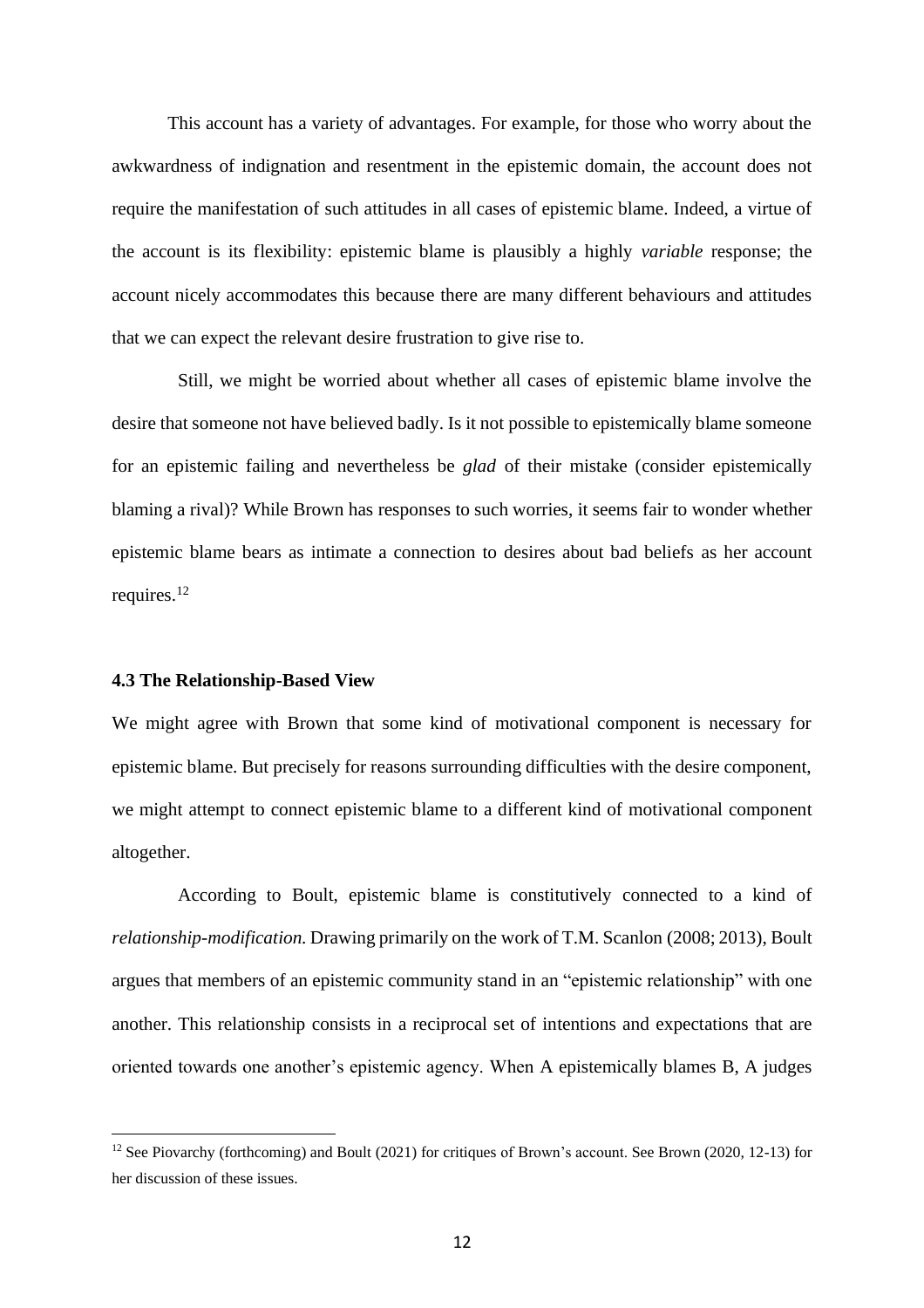This account has a variety of advantages. For example, for those who worry about the awkwardness of indignation and resentment in the epistemic domain, the account does not require the manifestation of such attitudes in all cases of epistemic blame. Indeed, a virtue of the account is its flexibility: epistemic blame is plausibly a highly *variable* response; the account nicely accommodates this because there are many different behaviours and attitudes that we can expect the relevant desire frustration to give rise to.

Still, we might be worried about whether all cases of epistemic blame involve the desire that someone not have believed badly. Is it not possible to epistemically blame someone for an epistemic failing and nevertheless be *glad* of their mistake (consider epistemically blaming a rival)? While Brown has responses to such worries, it seems fair to wonder whether epistemic blame bears as intimate a connection to desires about bad beliefs as her account requires.<sup>12</sup>

#### **4.3 The Relationship-Based View**

We might agree with Brown that some kind of motivational component is necessary for epistemic blame. But precisely for reasons surrounding difficulties with the desire component, we might attempt to connect epistemic blame to a different kind of motivational component altogether.

According to Boult, epistemic blame is constitutively connected to a kind of *relationship-modification.* Drawing primarily on the work of T.M. Scanlon (2008; 2013), Boult argues that members of an epistemic community stand in an "epistemic relationship" with one another. This relationship consists in a reciprocal set of intentions and expectations that are oriented towards one another's epistemic agency. When A epistemically blames B, A judges

<sup>&</sup>lt;sup>12</sup> See Piovarchy (forthcoming) and Boult (2021) for critiques of Brown's account. See Brown (2020, 12-13) for her discussion of these issues.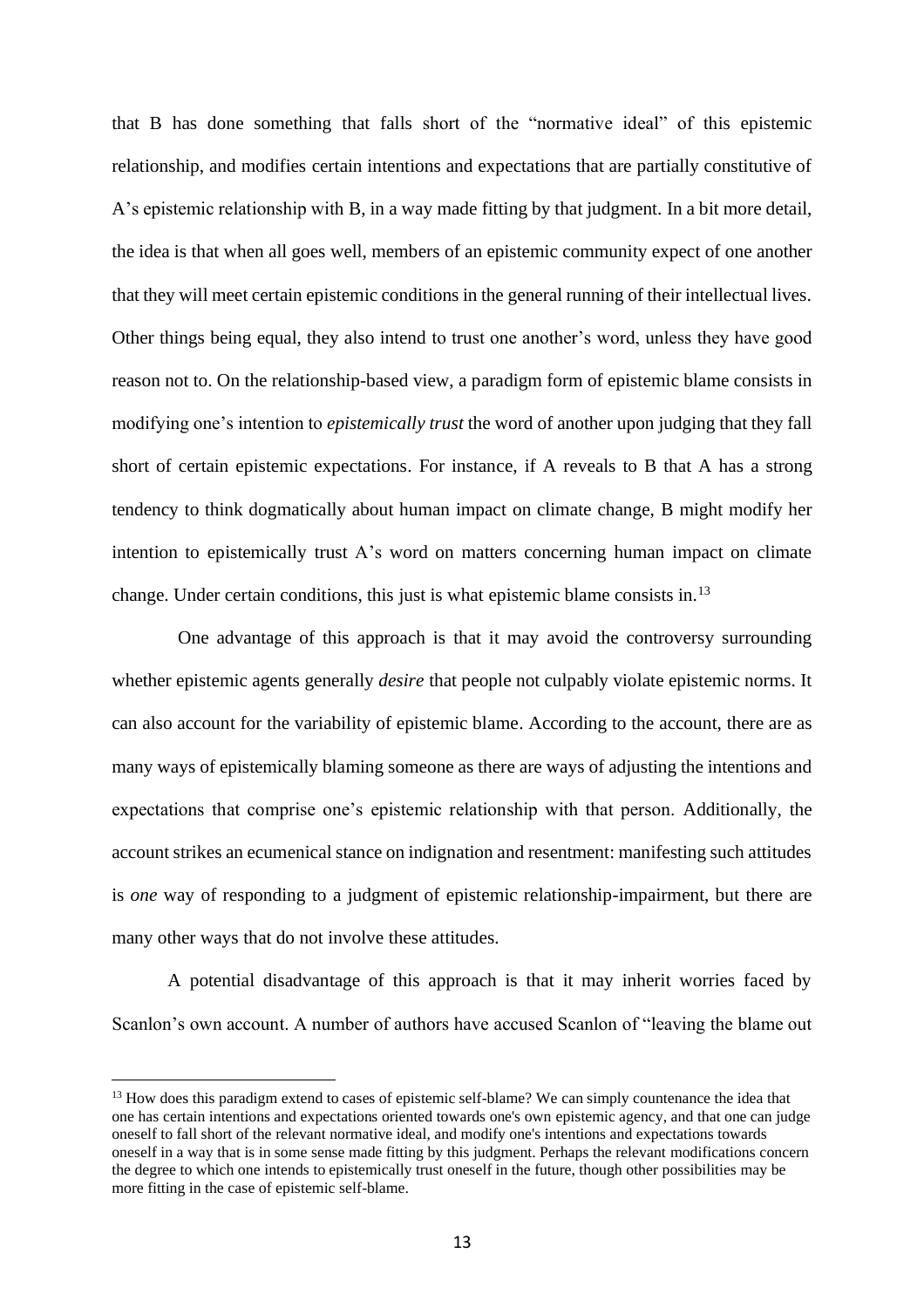that B has done something that falls short of the "normative ideal" of this epistemic relationship, and modifies certain intentions and expectations that are partially constitutive of A's epistemic relationship with B, in a way made fitting by that judgment. In a bit more detail, the idea is that when all goes well, members of an epistemic community expect of one another that they will meet certain epistemic conditions in the general running of their intellectual lives. Other things being equal, they also intend to trust one another's word, unless they have good reason not to. On the relationship-based view, a paradigm form of epistemic blame consists in modifying one's intention to *epistemically trust* the word of another upon judging that they fall short of certain epistemic expectations. For instance, if A reveals to B that A has a strong tendency to think dogmatically about human impact on climate change, B might modify her intention to epistemically trust A's word on matters concerning human impact on climate change. Under certain conditions, this just is what epistemic blame consists in.<sup>13</sup>

One advantage of this approach is that it may avoid the controversy surrounding whether epistemic agents generally *desire* that people not culpably violate epistemic norms. It can also account for the variability of epistemic blame. According to the account, there are as many ways of epistemically blaming someone as there are ways of adjusting the intentions and expectations that comprise one's epistemic relationship with that person. Additionally, the account strikes an ecumenical stance on indignation and resentment: manifesting such attitudes is *one* way of responding to a judgment of epistemic relationship-impairment, but there are many other ways that do not involve these attitudes.

A potential disadvantage of this approach is that it may inherit worries faced by Scanlon's own account. A number of authors have accused Scanlon of "leaving the blame out

<sup>&</sup>lt;sup>13</sup> How does this paradigm extend to cases of epistemic self-blame? We can simply countenance the idea that one has certain intentions and expectations oriented towards one's own epistemic agency, and that one can judge oneself to fall short of the relevant normative ideal, and modify one's intentions and expectations towards oneself in a way that is in some sense made fitting by this judgment. Perhaps the relevant modifications concern the degree to which one intends to epistemically trust oneself in the future, though other possibilities may be more fitting in the case of epistemic self-blame.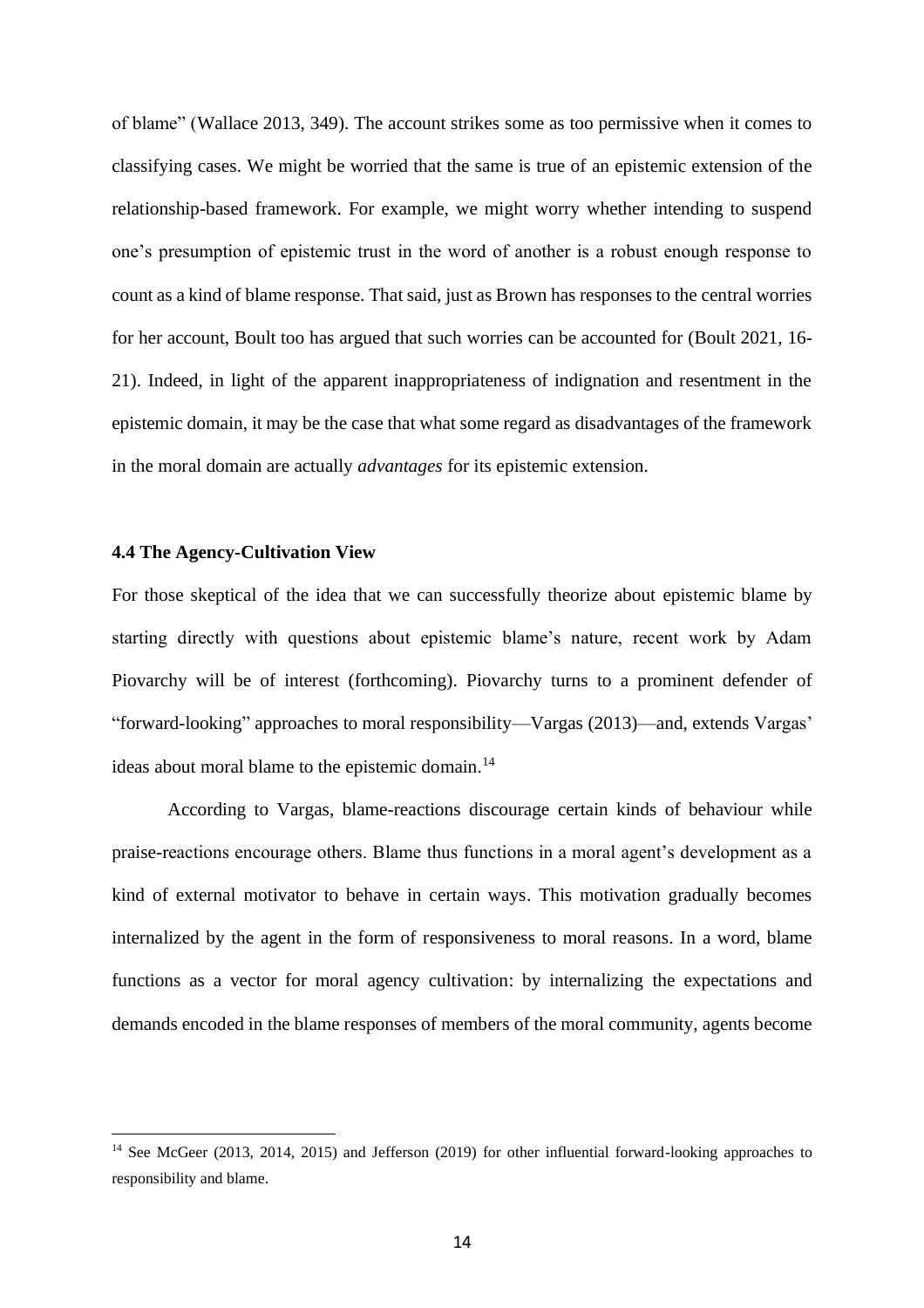of blame" (Wallace 2013, 349). The account strikes some as too permissive when it comes to classifying cases. We might be worried that the same is true of an epistemic extension of the relationship-based framework. For example, we might worry whether intending to suspend one's presumption of epistemic trust in the word of another is a robust enough response to count as a kind of blame response. That said, just as Brown has responses to the central worries for her account, Boult too has argued that such worries can be accounted for (Boult 2021, 16- 21). Indeed, in light of the apparent inappropriateness of indignation and resentment in the epistemic domain, it may be the case that what some regard as disadvantages of the framework in the moral domain are actually *advantages* for its epistemic extension.

## **4.4 The Agency-Cultivation View**

For those skeptical of the idea that we can successfully theorize about epistemic blame by starting directly with questions about epistemic blame's nature, recent work by Adam Piovarchy will be of interest (forthcoming). Piovarchy turns to a prominent defender of "forward-looking" approaches to moral responsibility—Vargas (2013)—and, extends Vargas' ideas about moral blame to the epistemic domain.<sup>14</sup>

According to Vargas, blame-reactions discourage certain kinds of behaviour while praise-reactions encourage others. Blame thus functions in a moral agent's development as a kind of external motivator to behave in certain ways. This motivation gradually becomes internalized by the agent in the form of responsiveness to moral reasons. In a word, blame functions as a vector for moral agency cultivation: by internalizing the expectations and demands encoded in the blame responses of members of the moral community, agents become

<sup>&</sup>lt;sup>14</sup> See McGeer (2013, 2014, 2015) and Jefferson (2019) for other influential forward-looking approaches to responsibility and blame.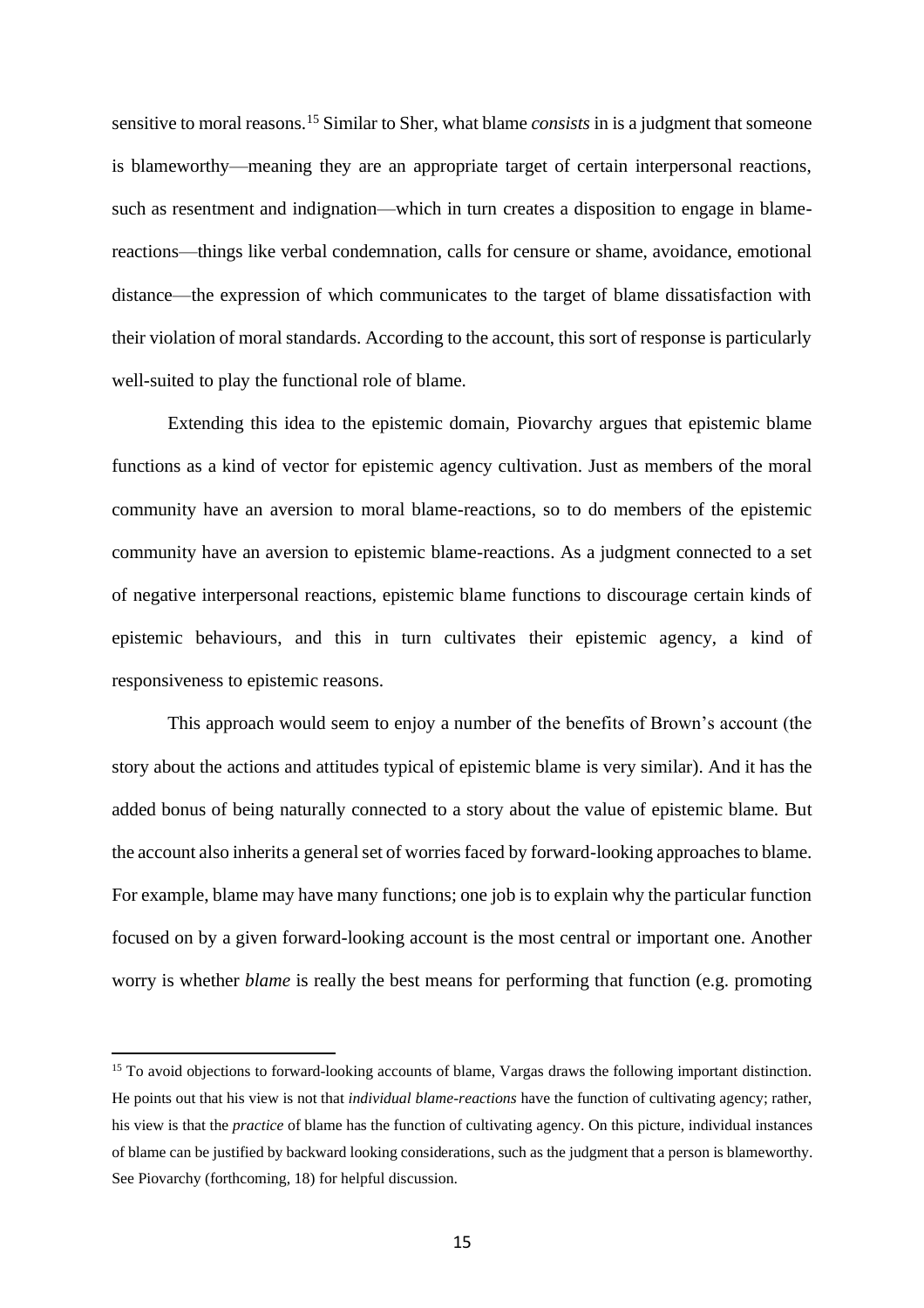sensitive to moral reasons.<sup>15</sup> Similar to Sher, what blame *consists* in is a judgment that someone is blameworthy—meaning they are an appropriate target of certain interpersonal reactions, such as resentment and indignation—which in turn creates a disposition to engage in blamereactions—things like verbal condemnation, calls for censure or shame, avoidance, emotional distance—the expression of which communicates to the target of blame dissatisfaction with their violation of moral standards. According to the account, this sort of response is particularly well-suited to play the functional role of blame.

Extending this idea to the epistemic domain, Piovarchy argues that epistemic blame functions as a kind of vector for epistemic agency cultivation. Just as members of the moral community have an aversion to moral blame-reactions, so to do members of the epistemic community have an aversion to epistemic blame-reactions. As a judgment connected to a set of negative interpersonal reactions, epistemic blame functions to discourage certain kinds of epistemic behaviours, and this in turn cultivates their epistemic agency, a kind of responsiveness to epistemic reasons.

This approach would seem to enjoy a number of the benefits of Brown's account (the story about the actions and attitudes typical of epistemic blame is very similar). And it has the added bonus of being naturally connected to a story about the value of epistemic blame. But the account also inherits a general set of worries faced by forward-looking approaches to blame. For example, blame may have many functions; one job is to explain why the particular function focused on by a given forward-looking account is the most central or important one. Another worry is whether *blame* is really the best means for performing that function (e.g. promoting

<sup>&</sup>lt;sup>15</sup> To avoid objections to forward-looking accounts of blame, Vargas draws the following important distinction. He points out that his view is not that *individual blame-reactions* have the function of cultivating agency; rather, his view is that the *practice* of blame has the function of cultivating agency. On this picture, individual instances of blame can be justified by backward looking considerations, such as the judgment that a person is blameworthy. See Piovarchy (forthcoming, 18) for helpful discussion.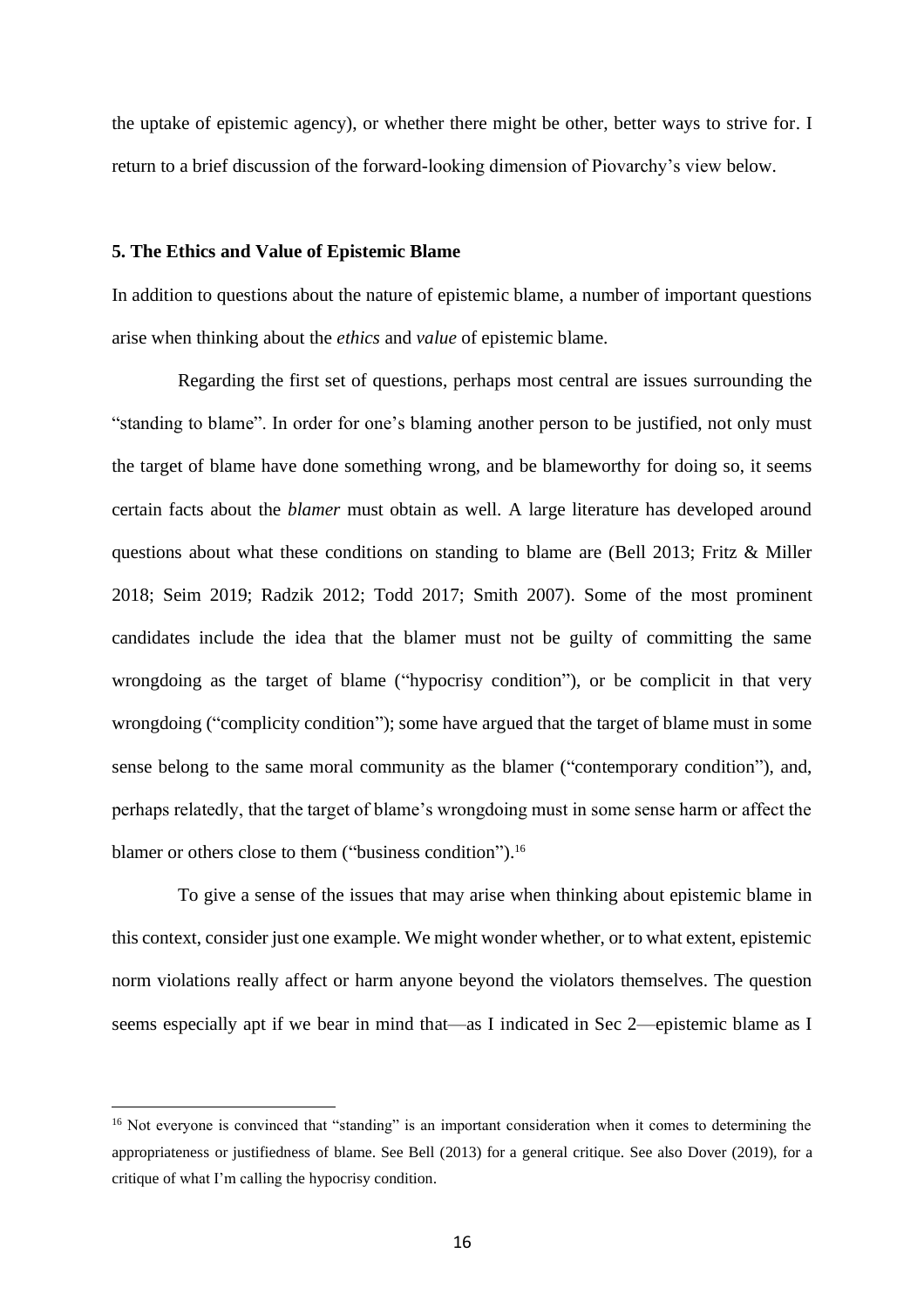the uptake of epistemic agency), or whether there might be other, better ways to strive for. I return to a brief discussion of the forward-looking dimension of Piovarchy's view below.

#### **5. The Ethics and Value of Epistemic Blame**

In addition to questions about the nature of epistemic blame, a number of important questions arise when thinking about the *ethics* and *value* of epistemic blame.

Regarding the first set of questions, perhaps most central are issues surrounding the "standing to blame". In order for one's blaming another person to be justified, not only must the target of blame have done something wrong, and be blameworthy for doing so, it seems certain facts about the *blamer* must obtain as well. A large literature has developed around questions about what these conditions on standing to blame are (Bell 2013; Fritz & Miller 2018; Seim 2019; Radzik 2012; Todd 2017; Smith 2007). Some of the most prominent candidates include the idea that the blamer must not be guilty of committing the same wrongdoing as the target of blame ("hypocrisy condition"), or be complicit in that very wrongdoing ("complicity condition"); some have argued that the target of blame must in some sense belong to the same moral community as the blamer ("contemporary condition"), and, perhaps relatedly, that the target of blame's wrongdoing must in some sense harm or affect the blamer or others close to them ("business condition").<sup>16</sup>

To give a sense of the issues that may arise when thinking about epistemic blame in this context, consider just one example. We might wonder whether, or to what extent, epistemic norm violations really affect or harm anyone beyond the violators themselves. The question seems especially apt if we bear in mind that—as I indicated in Sec 2—epistemic blame as I

<sup>&</sup>lt;sup>16</sup> Not everyone is convinced that "standing" is an important consideration when it comes to determining the appropriateness or justifiedness of blame. See Bell (2013) for a general critique. See also Dover (2019), for a critique of what I'm calling the hypocrisy condition.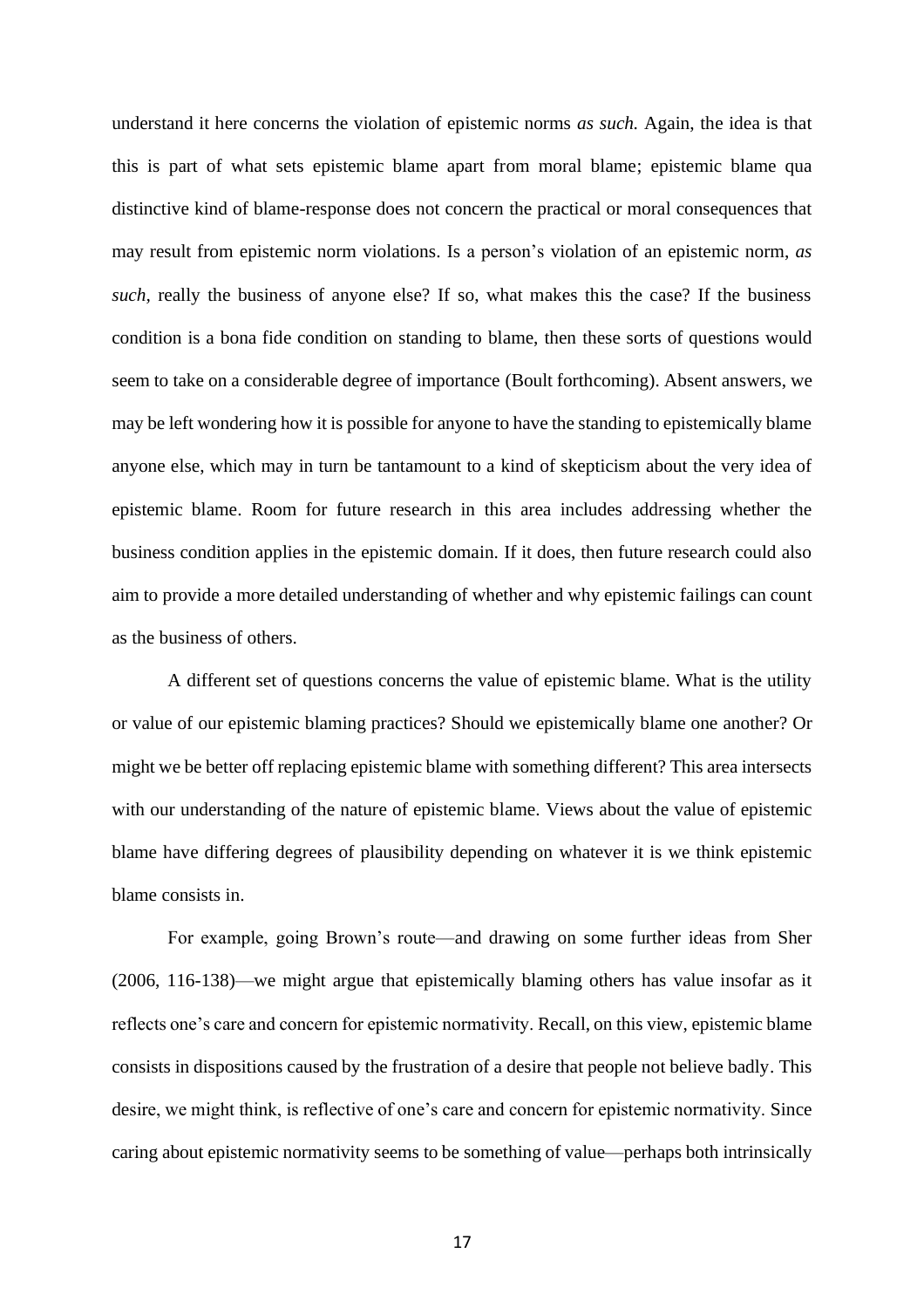understand it here concerns the violation of epistemic norms *as such.* Again, the idea is that this is part of what sets epistemic blame apart from moral blame; epistemic blame qua distinctive kind of blame-response does not concern the practical or moral consequences that may result from epistemic norm violations. Is a person's violation of an epistemic norm, *as such,* really the business of anyone else? If so, what makes this the case? If the business condition is a bona fide condition on standing to blame, then these sorts of questions would seem to take on a considerable degree of importance (Boult forthcoming). Absent answers, we may be left wondering how it is possible for anyone to have the standing to epistemically blame anyone else, which may in turn be tantamount to a kind of skepticism about the very idea of epistemic blame. Room for future research in this area includes addressing whether the business condition applies in the epistemic domain. If it does, then future research could also aim to provide a more detailed understanding of whether and why epistemic failings can count as the business of others.

A different set of questions concerns the value of epistemic blame. What is the utility or value of our epistemic blaming practices? Should we epistemically blame one another? Or might we be better off replacing epistemic blame with something different? This area intersects with our understanding of the nature of epistemic blame. Views about the value of epistemic blame have differing degrees of plausibility depending on whatever it is we think epistemic blame consists in.

For example, going Brown's route—and drawing on some further ideas from Sher (2006, 116-138)—we might argue that epistemically blaming others has value insofar as it reflects one's care and concern for epistemic normativity. Recall, on this view, epistemic blame consists in dispositions caused by the frustration of a desire that people not believe badly. This desire, we might think, is reflective of one's care and concern for epistemic normativity. Since caring about epistemic normativity seems to be something of value—perhaps both intrinsically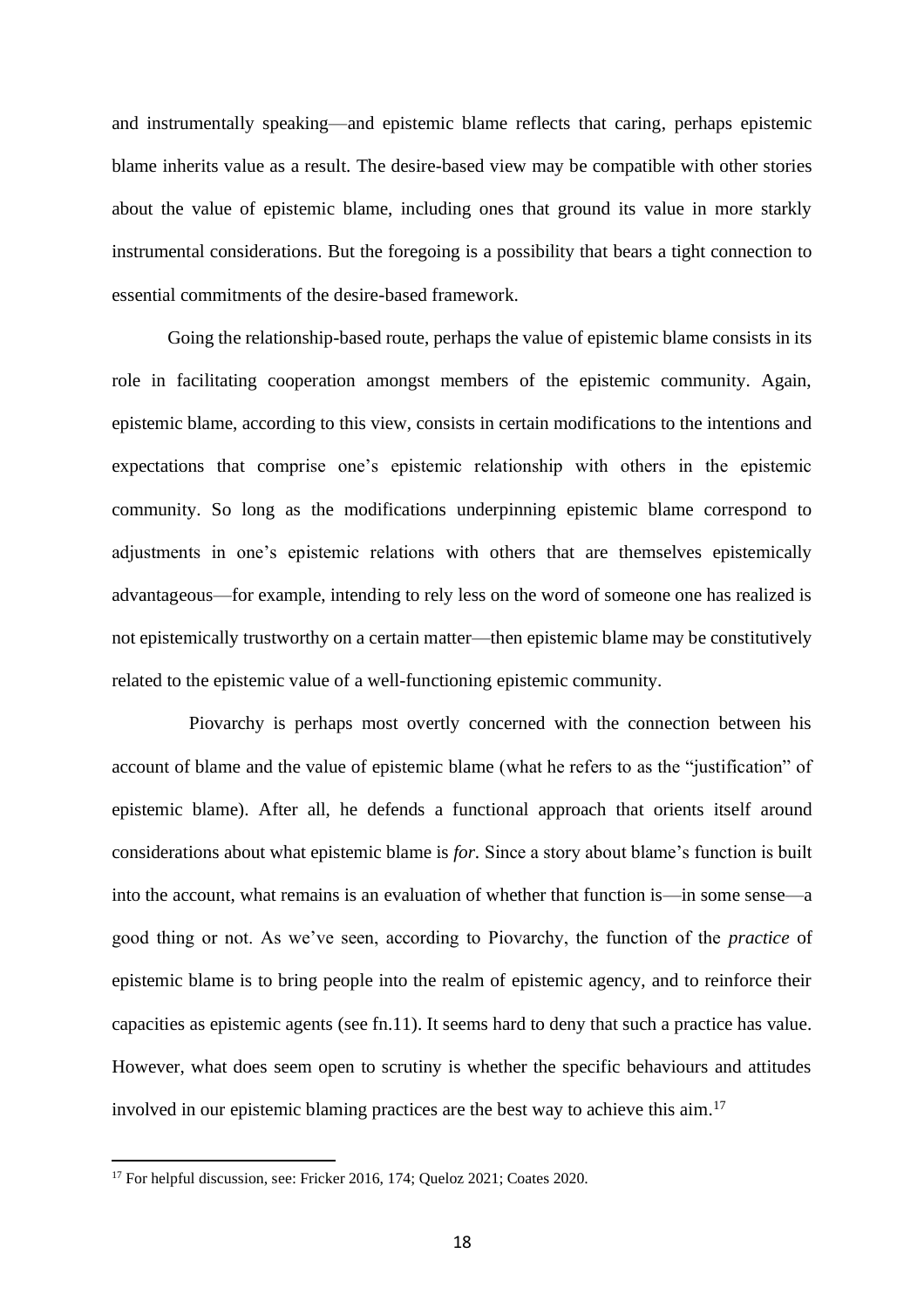and instrumentally speaking—and epistemic blame reflects that caring, perhaps epistemic blame inherits value as a result. The desire-based view may be compatible with other stories about the value of epistemic blame, including ones that ground its value in more starkly instrumental considerations. But the foregoing is a possibility that bears a tight connection to essential commitments of the desire-based framework.

Going the relationship-based route, perhaps the value of epistemic blame consists in its role in facilitating cooperation amongst members of the epistemic community. Again, epistemic blame, according to this view, consists in certain modifications to the intentions and expectations that comprise one's epistemic relationship with others in the epistemic community. So long as the modifications underpinning epistemic blame correspond to adjustments in one's epistemic relations with others that are themselves epistemically advantageous—for example, intending to rely less on the word of someone one has realized is not epistemically trustworthy on a certain matter—then epistemic blame may be constitutively related to the epistemic value of a well-functioning epistemic community.

Piovarchy is perhaps most overtly concerned with the connection between his account of blame and the value of epistemic blame (what he refers to as the "justification" of epistemic blame). After all, he defends a functional approach that orients itself around considerations about what epistemic blame is *for.* Since a story about blame's function is built into the account, what remains is an evaluation of whether that function is—in some sense—a good thing or not. As we've seen, according to Piovarchy, the function of the *practice* of epistemic blame is to bring people into the realm of epistemic agency, and to reinforce their capacities as epistemic agents (see fn.11). It seems hard to deny that such a practice has value. However, what does seem open to scrutiny is whether the specific behaviours and attitudes involved in our epistemic blaming practices are the best way to achieve this aim. 17

<sup>&</sup>lt;sup>17</sup> For helpful discussion, see: Fricker 2016, 174; Queloz 2021; Coates 2020.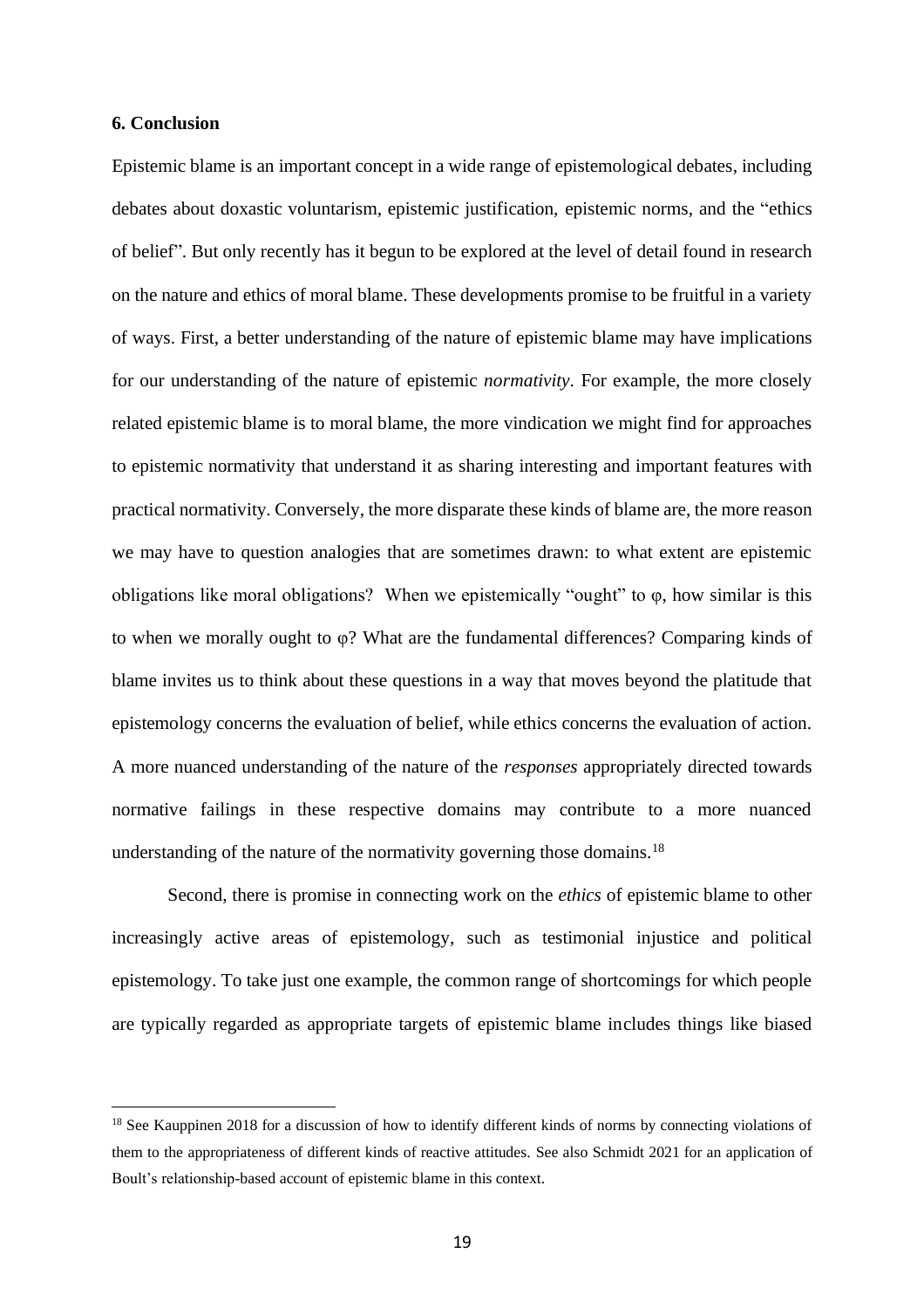## **6. Conclusion**

Epistemic blame is an important concept in a wide range of epistemological debates, including debates about doxastic voluntarism, epistemic justification, epistemic norms, and the "ethics of belief". But only recently has it begun to be explored at the level of detail found in research on the nature and ethics of moral blame. These developments promise to be fruitful in a variety of ways. First, a better understanding of the nature of epistemic blame may have implications for our understanding of the nature of epistemic *normativity*. For example, the more closely related epistemic blame is to moral blame, the more vindication we might find for approaches to epistemic normativity that understand it as sharing interesting and important features with practical normativity. Conversely, the more disparate these kinds of blame are, the more reason we may have to question analogies that are sometimes drawn: to what extent are epistemic obligations like moral obligations? When we epistemically "ought" to φ, how similar is this to when we morally ought to φ? What are the fundamental differences? Comparing kinds of blame invites us to think about these questions in a way that moves beyond the platitude that epistemology concerns the evaluation of belief*,* while ethics concerns the evaluation of action*.*  A more nuanced understanding of the nature of the *responses* appropriately directed towards normative failings in these respective domains may contribute to a more nuanced understanding of the nature of the normativity governing those domains.<sup>18</sup>

Second, there is promise in connecting work on the *ethics* of epistemic blame to other increasingly active areas of epistemology, such as testimonial injustice and political epistemology. To take just one example, the common range of shortcomings for which people are typically regarded as appropriate targets of epistemic blame includes things like biased

<sup>&</sup>lt;sup>18</sup> See Kauppinen 2018 for a discussion of how to identify different kinds of norms by connecting violations of them to the appropriateness of different kinds of reactive attitudes. See also Schmidt 2021 for an application of Boult's relationship-based account of epistemic blame in this context.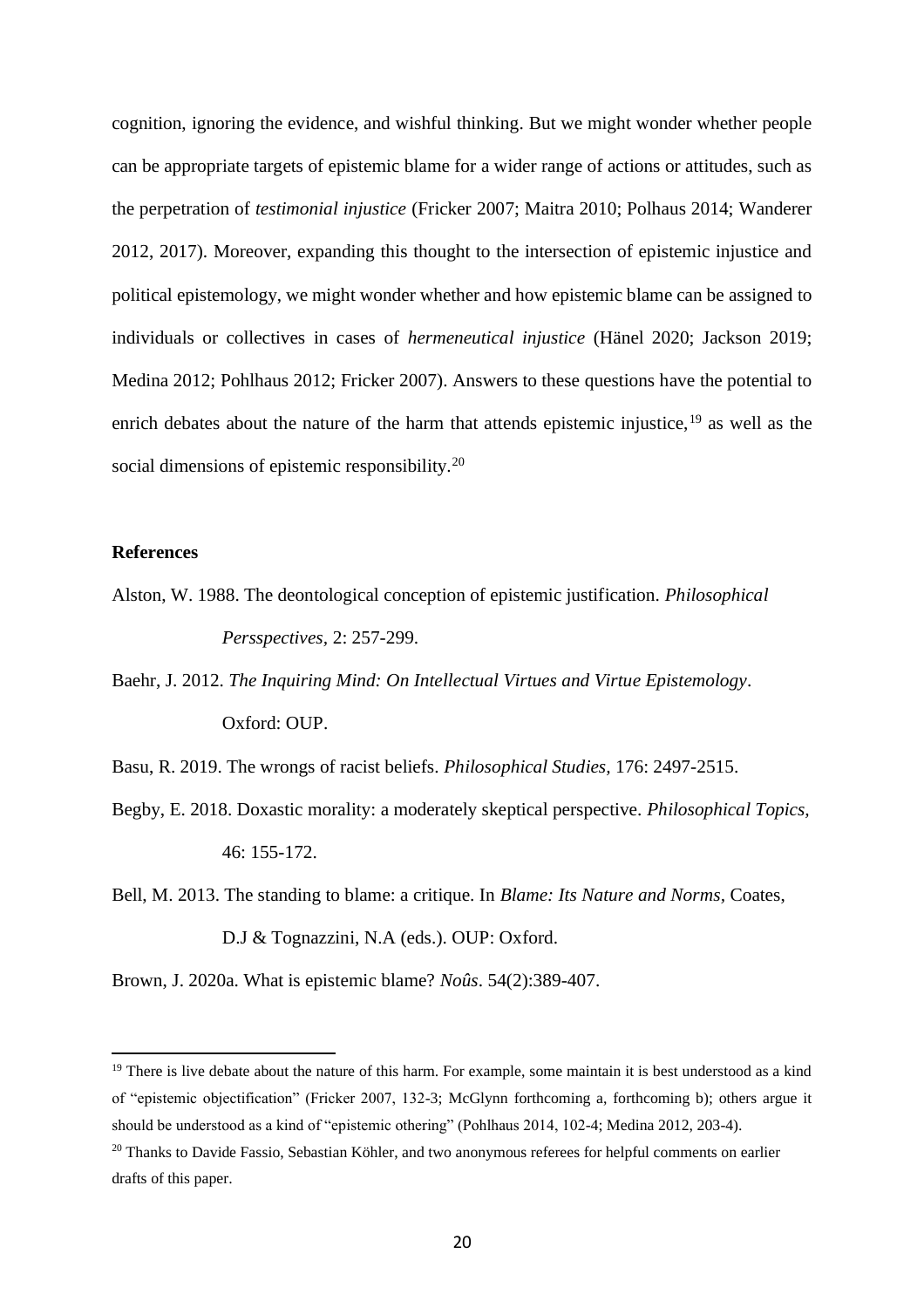cognition, ignoring the evidence, and wishful thinking. But we might wonder whether people can be appropriate targets of epistemic blame for a wider range of actions or attitudes, such as the perpetration of *testimonial injustice* (Fricker 2007; Maitra 2010; Polhaus 2014; Wanderer 2012, 2017). Moreover, expanding this thought to the intersection of epistemic injustice and political epistemology, we might wonder whether and how epistemic blame can be assigned to individuals or collectives in cases of *hermeneutical injustice* (Hänel 2020; Jackson 2019; Medina 2012; Pohlhaus 2012; Fricker 2007). Answers to these questions have the potential to enrich debates about the nature of the harm that attends epistemic injustice,  $19$  as well as the social dimensions of epistemic responsibility.<sup>20</sup>

# **References**

- Alston, W. 1988. The deontological conception of epistemic justification. *Philosophical Persspectives,* 2: 257-299.
- Baehr, J. 2012. *The Inquiring Mind: On Intellectual Virtues and Virtue Epistemology*. Oxford: OUP.

Basu, R. 2019. The wrongs of racist beliefs. *Philosophical Studies,* 176: 2497-2515.

- Begby, E. 2018. Doxastic morality: a moderately skeptical perspective. *Philosophical Topics,*  46: 155-172.
- Bell, M. 2013. The standing to blame: a critique. In *Blame: Its Nature and Norms,* Coates, D.J & Tognazzini, N.A (eds.). OUP: Oxford.

Brown, J. 2020a. What is epistemic blame? *Noûs*. 54(2):389-407.

<sup>&</sup>lt;sup>19</sup> There is live debate about the nature of this harm. For example, some maintain it is best understood as a kind of "epistemic objectification" (Fricker 2007, 132-3; McGlynn forthcoming a, forthcoming b); others argue it should be understood as a kind of "epistemic othering" (Pohlhaus 2014, 102-4; Medina 2012, 203-4).

<sup>&</sup>lt;sup>20</sup> Thanks to Davide Fassio, Sebastian Köhler, and two anonymous referees for helpful comments on earlier drafts of this paper.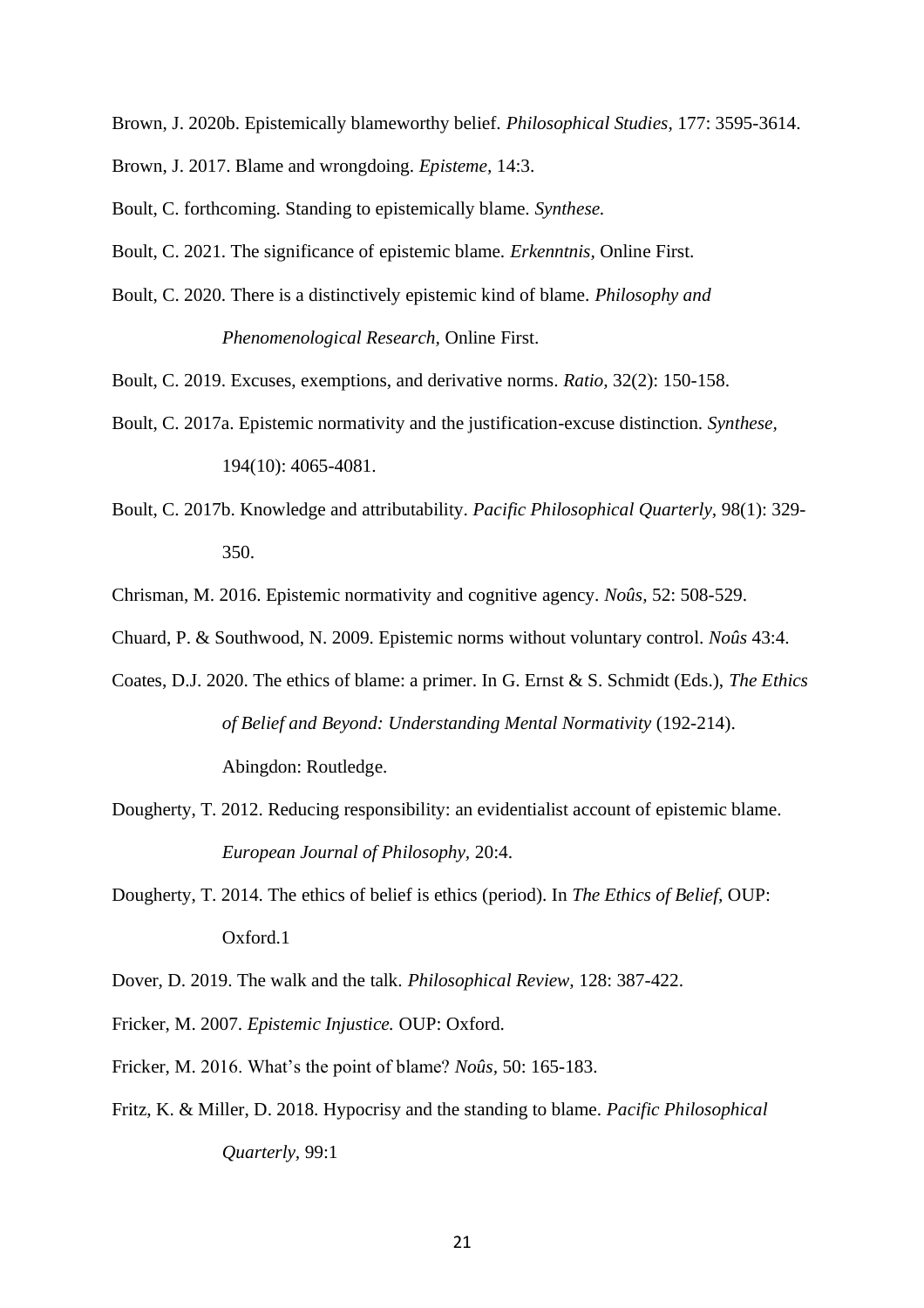- Brown, J. 2020b. Epistemically blameworthy belief. *Philosophical Studies,* 177: 3595-3614.
- Brown, J. 2017. Blame and wrongdoing. *Episteme,* 14:3.
- Boult, C. forthcoming. Standing to epistemically blame. *Synthese.*
- Boult, C. 2021. The significance of epistemic blame. *Erkenntnis,* Online First.
- Boult, C. 2020. There is a distinctively epistemic kind of blame. *Philosophy and Phenomenological Research,* Online First.
- Boult, C. 2019. Excuses, exemptions, and derivative norms. *Ratio,* 32(2): 150-158.
- Boult, C. 2017a. Epistemic normativity and the justification-excuse distinction. *Synthese,*  194(10): 4065-4081.
- Boult, C. 2017b. Knowledge and attributability. *Pacific Philosophical Quarterly,* 98(1): 329- 350.
- Chrisman, M. 2016. Epistemic normativity and cognitive agency. *Noûs,* 52: 508-529.
- Chuard, P. & Southwood, N. 2009. Epistemic norms without voluntary control. *Noûs* 43:4.
- Coates, D.J. 2020. The ethics of blame: a primer. In G. Ernst & S. Schmidt (Eds.), *The Ethics of Belief and Beyond: Understanding Mental Normativity* (192-214). Abingdon: Routledge.
- Dougherty, T. 2012. Reducing responsibility: an evidentialist account of epistemic blame. *European Journal of Philosophy,* 20:4.
- Dougherty, T. 2014. The ethics of belief is ethics (period). In *The Ethics of Belief,* OUP: Oxford.1
- Dover, D. 2019. The walk and the talk. *Philosophical Review,* 128: 387-422.
- Fricker, M. 2007. *Epistemic Injustice.* OUP: Oxford.
- Fricker, M. 2016. What's the point of blame? *Noûs,* 50: 165-183.
- Fritz, K. & Miller, D. 2018. Hypocrisy and the standing to blame. *Pacific Philosophical Quarterly,* 99:1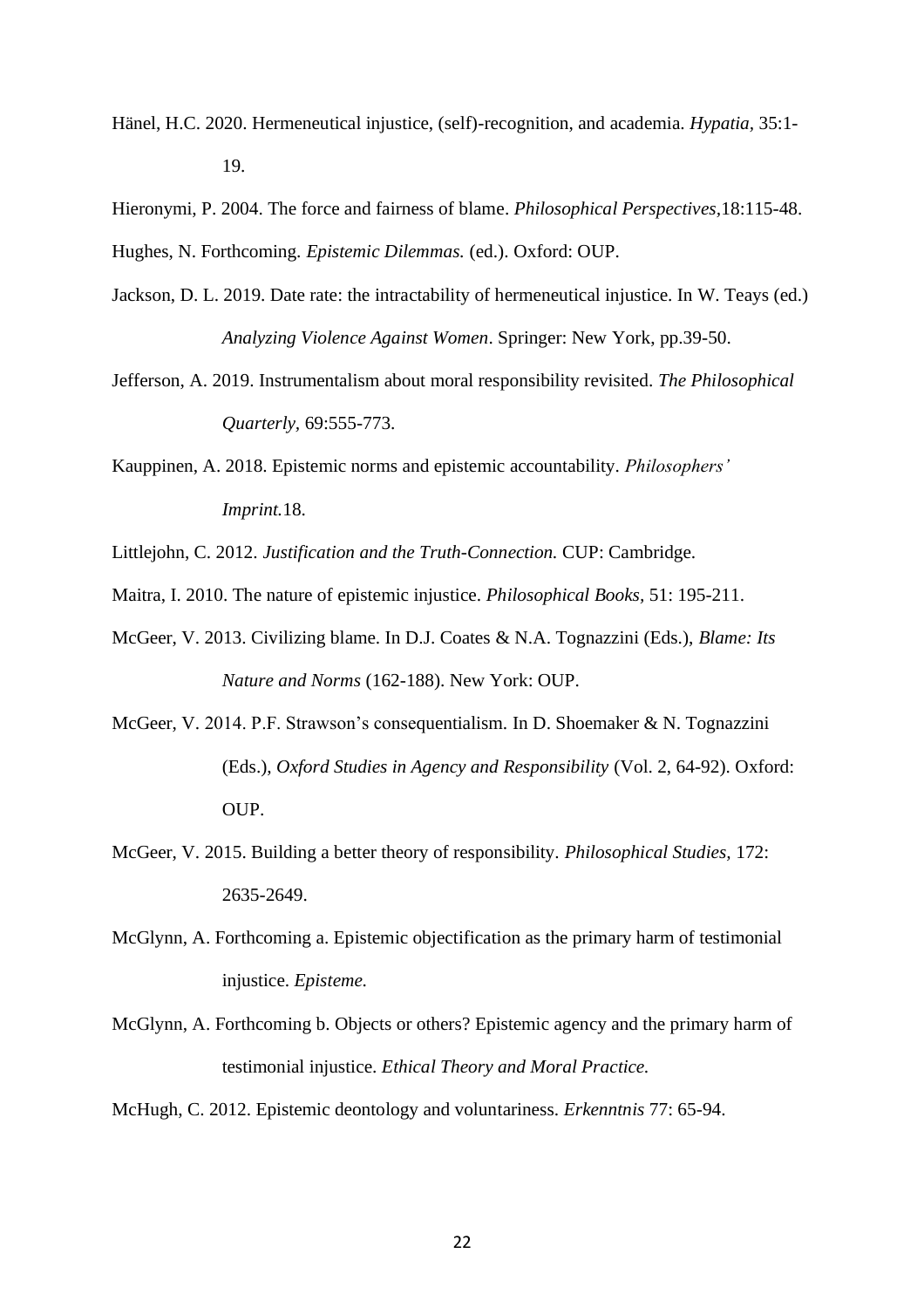Hänel, H.C. 2020. Hermeneutical injustice, (self)-recognition, and academia. *Hypatia,* 35:1- 19.

Hieronymi, P. 2004. The force and fairness of blame. *Philosophical Perspectives,*18:115-48. Hughes, N. Forthcoming. *Epistemic Dilemmas.* (ed.). Oxford: OUP.

- Jackson, D. L. 2019. Date rate: the intractability of hermeneutical injustice. In W. Teays (ed.) *Analyzing Violence Against Women*. Springer: New York, pp.39-50.
- Jefferson, A. 2019. Instrumentalism about moral responsibility revisited. *The Philosophical Quarterly,* 69:555-773.
- Kauppinen, A. 2018. Epistemic norms and epistemic accountability. *Philosophers' Imprint.*18.
- Littlejohn, C. 2012. *Justification and the Truth-Connection.* CUP: Cambridge.
- Maitra, I. 2010. The nature of epistemic injustice. *Philosophical Books,* 51: 195-211.
- McGeer, V. 2013. Civilizing blame. In D.J. Coates & N.A. Tognazzini (Eds.), *Blame: Its Nature and Norms* (162-188). New York: OUP.
- McGeer, V. 2014. P.F. Strawson's consequentialism. In D. Shoemaker & N. Tognazzini (Eds.), *Oxford Studies in Agency and Responsibility* (Vol. 2, 64-92). Oxford: OUP.
- McGeer, V. 2015. Building a better theory of responsibility. *Philosophical Studies,* 172: 2635-2649.
- McGlynn, A. Forthcoming a. Epistemic objectification as the primary harm of testimonial injustice. *Episteme.*
- McGlynn, A. Forthcoming b. Objects or others? Epistemic agency and the primary harm of testimonial injustice. *Ethical Theory and Moral Practice.*

McHugh, C. 2012. Epistemic deontology and voluntariness. *Erkenntnis* 77: 65-94.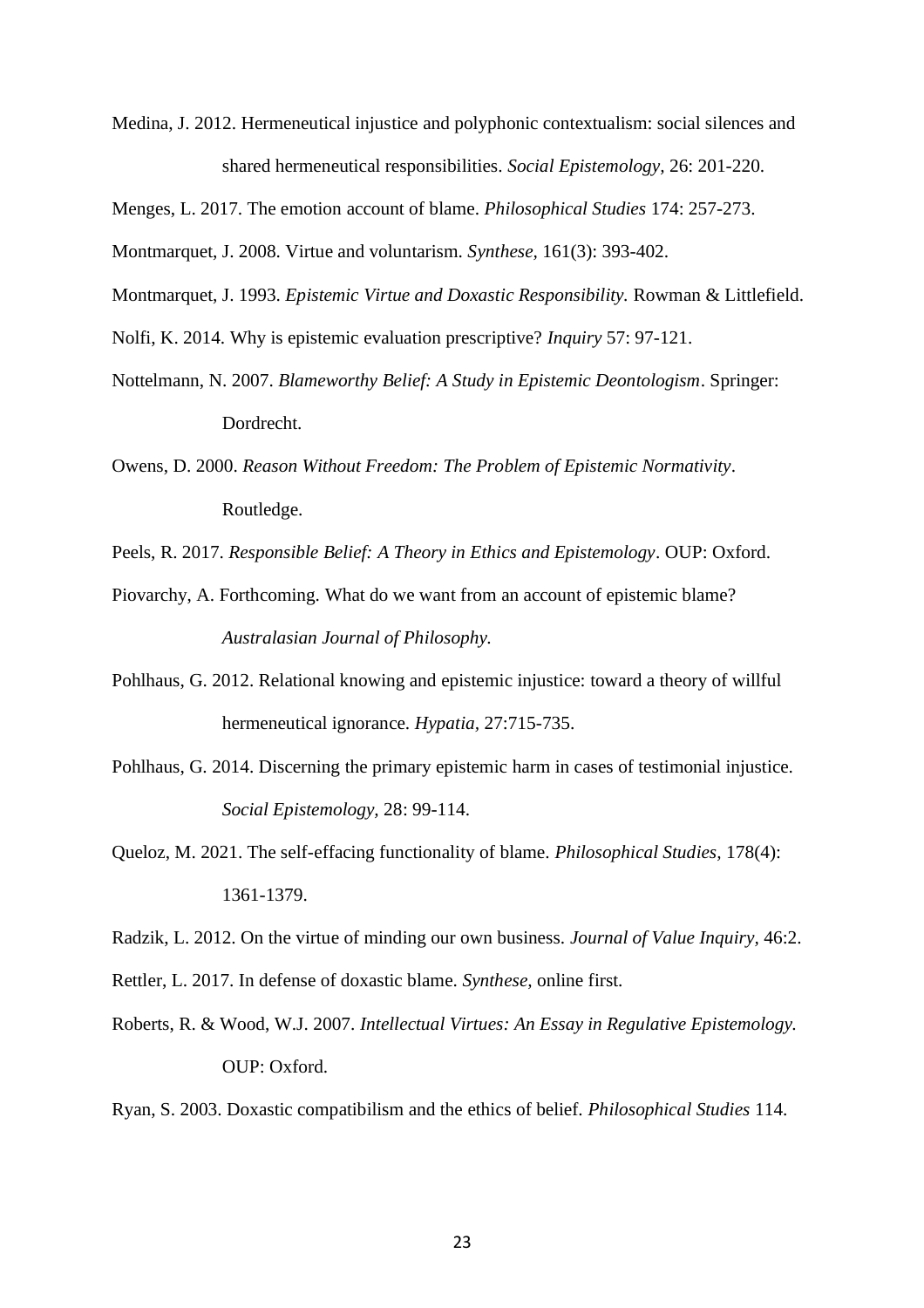Medina, J. 2012. Hermeneutical injustice and polyphonic contextualism: social silences and shared hermeneutical responsibilities. *Social Epistemology,* 26: 201-220.

Menges, L. 2017. The emotion account of blame. *Philosophical Studies* 174: 257-273.

Montmarquet, J. 2008. Virtue and voluntarism. *Synthese,* 161(3): 393-402.

- Montmarquet, J. 1993. *Epistemic Virtue and Doxastic Responsibility.* Rowman & Littlefield.
- Nolfi, K. 2014. Why is epistemic evaluation prescriptive? *Inquiry* 57: 97-121.
- Nottelmann, N. 2007. *Blameworthy Belief: A Study in Epistemic Deontologism*. Springer: Dordrecht.
- Owens, D. 2000. *Reason Without Freedom: The Problem of Epistemic Normativity*. Routledge.
- Peels, R. 2017. *Responsible Belief: A Theory in Ethics and Epistemology*. OUP: Oxford.
- Piovarchy, A. Forthcoming. What do we want from an account of epistemic blame? *Australasian Journal of Philosophy.*
- Pohlhaus, G. 2012. Relational knowing and epistemic injustice: toward a theory of willful hermeneutical ignorance. *Hypatia,* 27:715-735.
- Pohlhaus, G. 2014. Discerning the primary epistemic harm in cases of testimonial injustice. *Social Epistemology,* 28: 99-114.
- Queloz, M. 2021. The self-effacing functionality of blame. *Philosophical Studies,* 178(4): 1361-1379.

Radzik, L. 2012. On the virtue of minding our own business. *Journal of Value Inquiry,* 46:2.

- Rettler, L. 2017. In defense of doxastic blame. *Synthese,* online first.
- Roberts, R. & Wood, W.J. 2007. *Intellectual Virtues: An Essay in Regulative Epistemology.*  OUP: Oxford.

Ryan, S. 2003. Doxastic compatibilism and the ethics of belief. *Philosophical Studies* 114.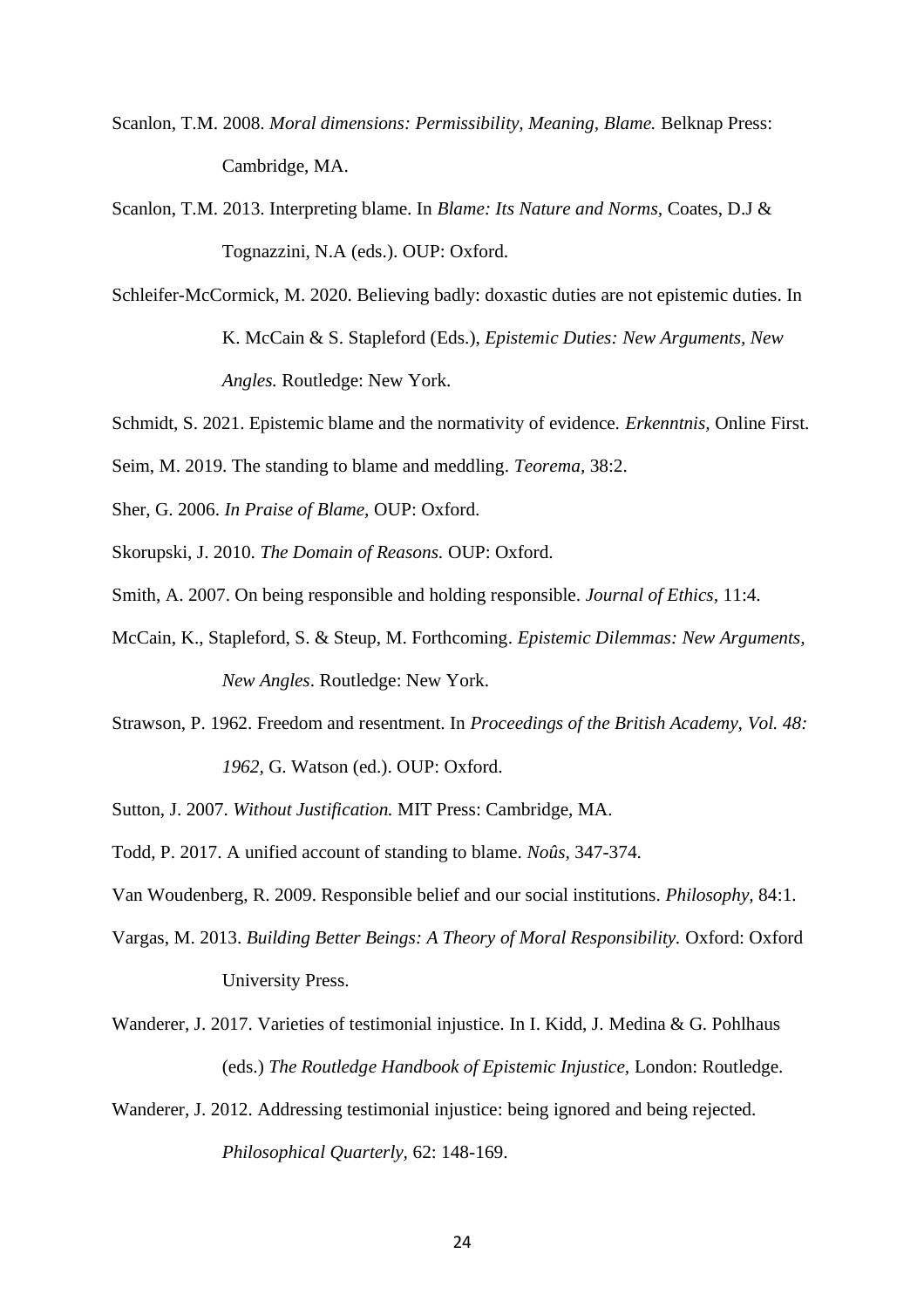- Scanlon, T.M. 2008. *Moral dimensions: Permissibility, Meaning, Blame. Belknap Press:* Cambridge, MA.
- Scanlon, T.M. 2013. Interpreting blame. In *Blame: Its Nature and Norms,* Coates, D.J & Tognazzini, N.A (eds.). OUP: Oxford.
- Schleifer-McCormick, M. 2020. Believing badly: doxastic duties are not epistemic duties. In K. McCain & S. Stapleford (Eds.), *Epistemic Duties: New Arguments, New Angles.* Routledge: New York.
- Schmidt, S. 2021. Epistemic blame and the normativity of evidence. *Erkenntnis,* Online First.
- Seim, M. 2019. The standing to blame and meddling. *Teorema,* 38:2.
- Sher, G. 2006. *In Praise of Blame,* OUP: Oxford.
- Skorupski, J. 2010. *The Domain of Reasons.* OUP: Oxford.
- Smith, A. 2007. On being responsible and holding responsible. *Journal of Ethics,* 11:4.
- McCain, K., Stapleford, S. & Steup, M. Forthcoming. *Epistemic Dilemmas: New Arguments, New Angles*. Routledge: New York.
- Strawson, P. 1962. Freedom and resentment. In *Proceedings of the British Academy, Vol. 48: 1962,* G. Watson (ed.). OUP: Oxford.
- Sutton, J. 2007. *Without Justification.* MIT Press: Cambridge, MA.
- Todd, P. 2017. A unified account of standing to blame. *Noûs,* 347-374.

Van Woudenberg, R. 2009. Responsible belief and our social institutions. *Philosophy,* 84:1.

- Vargas, M. 2013. *Building Better Beings: A Theory of Moral Responsibility.* Oxford: Oxford University Press.
- Wanderer, J. 2017. Varieties of testimonial injustice. In I. Kidd, J. Medina & G. Pohlhaus (eds.) *The Routledge Handbook of Epistemic Injustice,* London: Routledge.
- Wanderer, J. 2012. Addressing testimonial injustice: being ignored and being rejected. *Philosophical Quarterly,* 62: 148-169.